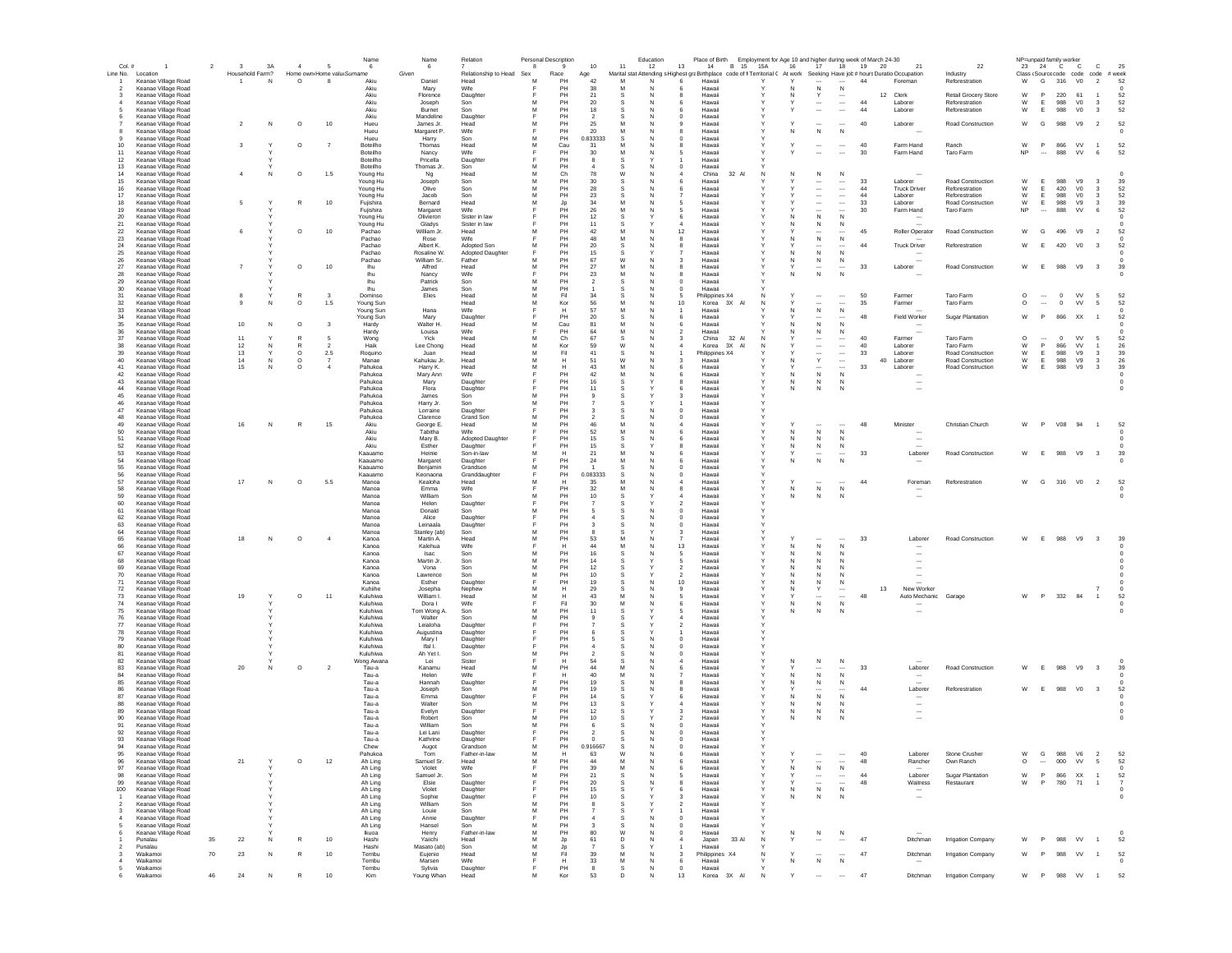| Col.#                            |                                            | $\overline{\mathbf{3}}$<br>$\overline{2}$ | 3A              | $\overline{4}$     |                            | Name<br>- 6                | Name<br>6                | Relation                       | 8      | Personal Description<br>9 | 10                   | 11     | Education<br>12 | Place of Birth<br>13<br>14<br><b>B</b> 15                                                                                   | 15A          | 16     | 17                                                   | 18                               | Employment for Age 10 and higher during week of March 24-30<br>19 20<br>21 | 22                                     |                    | NP=unpaid family worker<br>23 24 C | $\mathbf{C}$                                   | c                                                  | 25                   |  |
|----------------------------------|--------------------------------------------|-------------------------------------------|-----------------|--------------------|----------------------------|----------------------------|--------------------------|--------------------------------|--------|---------------------------|----------------------|--------|-----------------|-----------------------------------------------------------------------------------------------------------------------------|--------------|--------|------------------------------------------------------|----------------------------------|----------------------------------------------------------------------------|----------------------------------------|--------------------|------------------------------------|------------------------------------------------|----------------------------------------------------|----------------------|--|
| Line No.                         | Location                                   |                                           | Household Farm? |                    | Home own Home valu Surname |                            | Given                    | Relationship to Head Sex       |        | Race                      | Age                  |        |                 | Marital stat Attending s Highest graBirthplace code of fi Territorial ( At work Seeking Have job # hours Duratio Occupation |              |        |                                                      |                                  |                                                                            | Industry                               |                    |                                    |                                                | Class (Source code code code                       | # week               |  |
| $\overline{1}$<br>$\overline{2}$ | Keanae Village Road<br>Keanae Village Road | $\mathbf{1}$                              | N               | $\circ$            | -8                         | Akiu<br>Akiu               | Daniel<br>Mary           | Head<br>Wife                   | м      | PH<br>PH                  | 42<br>38             | M<br>M | N<br>N          | Hawaii<br>Hawaii                                                                                                            |              | N      | N                                                    | N                                | 44<br>Foreman                                                              | Reforestration                         | w                  | G                                  | V <sub>0</sub><br>316                          | $\overline{2}$                                     | 52                   |  |
| 3                                | Keanae Village Road                        |                                           |                 |                    |                            | Akiu                       | Florence                 | Daughter                       |        | PH                        | 21                   | -S     | <b>N</b>        | Hawaii<br>я                                                                                                                 |              | N      | Y                                                    |                                  | 12 Clerk                                                                   | <b>Retail Grocery Store</b>            | W                  | P                                  | 220 61                                         | $\overline{1}$                                     | 52                   |  |
| $\overline{4}$<br>-5             | Keanae Village Road<br>Keanae Village Road |                                           |                 |                    |                            | Akiu<br>Akiu               | Joseph<br>Burnet         | Son<br>Son                     | M<br>M | PH<br>PH                  | 20<br>18             | s<br>s | N<br>N          | Hawaii<br>6<br>Hawaii<br>6                                                                                                  |              |        | $\overline{\phantom{a}}$<br>$\overline{\phantom{a}}$ | <br>$\overline{\phantom{a}}$     | 44<br>Laborer<br>44<br>Laborer                                             | Reforestration<br>Reforestration       | W<br>W             | E<br>E                             | 988<br>V <sub>0</sub><br>988<br>V <sub>0</sub> | $\overline{\mathbf{3}}$<br>$\overline{\mathbf{3}}$ | 52<br>52             |  |
| 6                                | Keanae Village Road                        |                                           |                 |                    |                            | Akiu                       | Mandeline                | Daughter                       | E      | PH                        | $\overline{2}$       | s      | N               | $\Omega$<br>Hawaii                                                                                                          |              |        |                                                      |                                  |                                                                            |                                        |                    |                                    |                                                |                                                    |                      |  |
|                                  | Keanae Village Road<br>Keanae Village Road | $\overline{2}$                            | N               | $\circ$            | 10                         | Hueu<br>Hueu               | James Jr.<br>Margaret P. | Head<br>Wife                   | M      | PH<br>PH                  | 25<br>20             | M<br>M |                 | Hawaii<br>$\mathbf{Q}$<br>Hawaii                                                                                            |              | Ν      | $\overline{\phantom{a}}$<br>${\sf N}$                | <br>${\sf N}$                    | 40<br>Laborer                                                              | Road Construction                      | W                  | G                                  | 988<br>V9                                      | $\overline{2}$                                     | 52                   |  |
|                                  | Keanae Village Road                        |                                           |                 |                    |                            | Hueu                       | Harry                    | Son                            | M      | PH                        | 0.833333             | s      |                 | $\mathbf 0$<br>Hawaii                                                                                                       |              |        |                                                      |                                  |                                                                            |                                        |                    |                                    |                                                |                                                    |                      |  |
| 10<br>11                         | Keanae Village Road<br>Keanae Village Road | 3                                         |                 | $\circ$            | $\overline{7}$             | Boteilho<br>Boteilho       | Thomas<br>Nancy          | Head<br>Wife                   | M<br>Е | Cau<br>PH                 | 31<br>30             | M<br>M |                 | Hawaii<br>5<br>Hawaii                                                                                                       |              |        | $\overline{\phantom{a}}$                             | <br>$\overline{\phantom{a}}$     | 40<br>Farm Hand<br>30<br>Farm Hand                                         | Ranch<br>Taro Farm                     | W<br>NP            | P                                  | 866<br>VV<br>888                               | $\overline{1}$<br>VV<br>6                          | 52<br>52             |  |
| 12                               | Keanae Village Road                        |                                           |                 |                    |                            | Boteilho                   | Pricella                 | Daughter                       |        | PH                        |                      |        |                 | Hawaii                                                                                                                      |              |        |                                                      |                                  |                                                                            |                                        |                    |                                    |                                                |                                                    |                      |  |
| 13<br>14                         | Keanae Village Road<br>Keanae Village Road | $\overline{4}$                            | -N              | $\circ$            | 1.5                        | Boteilho<br>Young Hu       | Thomas Jr.<br>Ng         | Son<br>Head                    | M<br>M | PH<br>Ch                  | 78                   | W      |                 | Hawaii<br>$^{\circ}$<br>China<br>32 Al                                                                                      |              | N      | ${\sf N}$                                            | ${\sf N}$                        |                                                                            |                                        |                    |                                    |                                                |                                                    |                      |  |
| 15                               | Keanae Village Road                        |                                           |                 |                    |                            | Young Hu                   | Joseph                   | Son                            | M      | PH                        | 30                   | s      |                 | Hawaii<br>6                                                                                                                 |              |        | $\cdots$                                             | $\cdots$                         | 33<br>Laborer                                                              | Road Construction                      | W                  | E                                  | 988                                            | V9<br>$\overline{\mathbf{3}}$                      | 39                   |  |
| 16<br>17                         | Keanae Village Road<br>Keanae Village Road |                                           |                 |                    |                            | Young Hu<br>Young Hu       | Olive<br>Jacob           | Son<br>Son                     | M<br>M | PH<br>PH                  | 28<br>23             | s<br>s | N               | Hawaii<br>-6<br>Hawaii                                                                                                      |              |        | $\overline{\phantom{a}}$<br>$\cdots$                 | $\ldots$<br>$\cdots$             | 44<br><b>Truck Driver</b><br>44<br>Laborer                                 | Reforestration<br>Reforestration       | W<br>${\mathsf W}$ | E<br>E                             | 420<br>V <sub>0</sub><br>988<br>V <sub>0</sub> | $\overline{\mathbf{3}}$<br>$\overline{\mathbf{3}}$ | 52<br>52             |  |
| 18                               | Keanae Village Road                        | 5                                         |                 | R                  | 10                         | Fujishira                  | Bernard                  | Head                           | M      | Jp                        | 34                   | M      |                 | 5<br>Hawaii                                                                                                                 |              |        | $\cdots$                                             | $\cdots$                         | 33<br>Laborer                                                              | <b>Road Construction</b>               | W                  | E                                  | 988<br>V9                                      | $\overline{\mathbf{3}}$                            | 39                   |  |
| 19                               | Keanae Village Road                        |                                           |                 |                    |                            | Fujishira                  | Margaret                 | Wife                           | E      | PH<br>PH                  | 26                   | M      | N               | Hawaii<br>5                                                                                                                 |              |        | $\overline{\phantom{a}}$                             | $\overline{\phantom{a}}$<br>N    | 30<br>Farm Hand                                                            | Taro Farm                              | <b>NP</b>          | $\overline{\phantom{a}}$           | 888<br><b>VV</b>                               | 6                                                  | 52                   |  |
| 20<br>21                         | Keanae Village Road<br>Keanae Village Road |                                           |                 |                    |                            | Young Hu<br>Young Hu       | Olivieron<br>Gladys      | Sister in law<br>Sister in law |        | PH                        | 12<br>11             |        |                 | Hawaii<br>6<br>Hawaii                                                                                                       |              | N      | ${\sf N}$<br>N                                       | $\mathbb N$                      |                                                                            |                                        |                    |                                    |                                                |                                                    |                      |  |
| 22                               | Keanae Village Road                        | 6                                         |                 | $\circ$            | $10$                       | Pachao                     | William Jr.              | Head                           | м      | PH                        | 42                   | M<br>M | N<br>N          | 12<br>Hawaii                                                                                                                |              |        | $\overline{\phantom{a}}$                             | $\overline{\phantom{a}}$         | 45<br>Roller Operator                                                      | Road Construction                      | W                  | G                                  | 496<br>V9                                      | $\overline{2}$                                     | 52                   |  |
| 23<br>24                         | Keanae Village Road<br>Keanae Village Road |                                           |                 |                    |                            | Pachao<br>Pachao           | Rose<br>Albert K.        | Wife<br>Adopted Son            | M      | PH<br>PH                  | 48<br>20             |        |                 | 8<br>Hawaii<br>Hawaii                                                                                                       |              |        | ${\sf N}$<br>$\ddot{\phantom{0}}$                    | N                                | 44<br><b>Truck Driver</b>                                                  | Reforestration                         | W                  | F.                                 | 420                                            | V <sub>0</sub><br>3                                | 52                   |  |
| 25                               | Keanae Village Road                        |                                           |                 |                    |                            | Pachao                     | Rosaline W.              | Adopted Daughter               |        | PH                        | 15                   |        |                 | Hawaii                                                                                                                      |              |        | ${\sf N}$                                            | $\mathsf{N}$                     |                                                                            |                                        |                    |                                    |                                                |                                                    |                      |  |
| 26<br>27                         | Keanae Village Road<br>Keanae Village Road | $\overline{7}$                            |                 | $\circ$            | 10                         | Pachao<br>lhu              | William Sr.<br>Alfred    | Father<br>Head                 | M<br>M | PH<br>PH                  | 67<br>27             | W      |                 | Hawaii<br>Hawaii                                                                                                            |              | Ν      | ${\sf N}$<br>$\cdots$                                | N<br>$\overline{\phantom{a}}$    | 33<br>Laborer                                                              | Road Construction                      | W                  | E                                  | 988                                            | V9<br>$\overline{\mathbf{3}}$                      | 39                   |  |
| 28                               | Keanae Village Road                        |                                           |                 |                    |                            | Ihu                        | Nancy                    | Wife                           |        | PH                        | $23\,$               |        |                 | Hawaii                                                                                                                      |              | N      | ${\sf N}$                                            | N                                |                                                                            |                                        |                    |                                    |                                                |                                                    |                      |  |
| 29<br>30                         | Keanae Village Road<br>Keanae Village Road |                                           |                 |                    |                            | Ihu<br>Ihu                 | Patrick<br>James         | Son<br>Son                     | M      | PH<br>PH                  |                      |        |                 | Hawaii<br>Hawaii<br>0                                                                                                       |              |        |                                                      |                                  |                                                                            |                                        |                    |                                    |                                                |                                                    |                      |  |
| 31                               | Keanae Village Road                        |                                           |                 | R                  |                            | Dominso                    | Elies                    | Head                           | M      | Fil                       | 34                   | s      | N               | 5<br>Philippines X4                                                                                                         | N            |        | $\cdots$                                             | $\cdots$                         | 50<br>Farmer                                                               | Taro Farm                              | $\circ$            | $\cdots$                           | <b>VV</b><br>$\overline{0}$                    | 5                                                  | 52                   |  |
| 32<br>33                         | Keanae Village Road<br>Keanae Village Road | 9                                         | N               | $\circ$            | 1.5                        | Young Sun<br>Young Sun     | Hana                     | Head<br>Wife                   | M<br>Е | Kor<br>H                  | 56<br>57             | M<br>M | N               | Korea 3X Al<br>10<br>Hawaii                                                                                                 | N            | N.     | $\overline{\phantom{a}}$<br>${\sf N}$                | $\cdots$<br>${\sf N}$            | 35<br>Farmer                                                               | Taro Farm                              | $\circ$            | $\overline{\phantom{a}}$           | $^{\circ}$                                     | VV<br>5                                            | 52                   |  |
| 34                               | Keanae Village Road                        |                                           |                 |                    |                            | Young Sun                  | Mary                     | Daughter                       | Е      | PH                        | 20                   | s      | N               | Hawaii<br>6                                                                                                                 |              |        | $\cdots$                                             | $\overline{\phantom{a}}$         | 48<br><b>Field Worker</b>                                                  | <b>Sugar Plantation</b>                | W                  | P                                  | 866<br>XX                                      | $\overline{1}$                                     | 52                   |  |
| 35                               | Keanae Village Road                        | 10                                        | N               | $\circ$            | $\overline{\mathbf{3}}$    | Hardy                      | Walter H.                | Head                           | м      | Cau                       | 81                   | M      |                 | Hawaii<br>6                                                                                                                 |              |        | ${\sf N}$                                            | N                                |                                                                            |                                        |                    |                                    |                                                |                                                    |                      |  |
| 36<br>37                         | Keanae Village Road<br>Keanae Village Road | 11                                        |                 | $\mathbb{R}$       | -5                         | Hardy<br>Wong              | Louisa<br>Yick           | Wife<br>Head                   | E<br>M | PH<br>Ch                  | 64<br>67             | M<br>s | N<br>N          | Hawaii<br>32 Al<br>China                                                                                                    | N            | N      | N<br>$\overline{\phantom{a}}$                        | N<br>$\overline{\phantom{a}}$    | $\overline{\phantom{a}}$<br>40<br>Farmer                                   | Taro Farm                              | $\circ$            | $\overline{\phantom{a}}$           | $\Omega$<br><b>VV</b>                          | -5                                                 | 52                   |  |
| 38                               | Keanae Village Road                        | 12                                        | N               | R                  |                            | Haik                       | Lee Chong                | Head                           | M      | Kor                       | 59                   | W      | N               | 3X<br>Korea<br>AI                                                                                                           | N            |        | $\overline{\phantom{a}}$                             | $\ldots$                         | 40<br>Laborer                                                              | Taro Farm                              | W                  | P                                  | 866<br>VV                                      |                                                    | 26                   |  |
| 39<br>40                         | Keanae Village Road<br>Keanae Village Road | 13<br>14                                  | N               | $\circ$<br>$\circ$ | $2.5\,$<br>$\overline{7}$  | Roquino<br>Manae           | Juan<br>Kahukau Jr.      | Head<br>Head                   | M<br>M | Fil<br>Н                  | 41<br>51             | W      |                 | Philippines X4<br>Hawai                                                                                                     |              |        | $\ddot{\phantom{0}}$<br>$\mathsf{Y}$                 | $\ldots$<br>$\ddot{\phantom{a}}$ | 33<br>Laborer<br>40<br>Laborer                                             | Road Construction<br>Road Construction | W<br>W             | Е<br>Е                             | 988<br>V9<br>988<br>V9                         | $\overline{\mathbf{3}}$<br>$\mathbf{3}$            | 39<br>26             |  |
| 41                               | Keanae Village Road                        | 15                                        | N               | $\circ$            | $\overline{a}$             | Pahukoa                    | Harry K.                 | Head                           | M      | Н                         | 43                   | M      |                 | Hawai                                                                                                                       |              |        | $\overline{\phantom{a}}$                             |                                  | 33<br>Laborer                                                              | Road Construction                      | W                  | Е                                  | 988<br>V9                                      | $\overline{\mathbf{3}}$                            | 39                   |  |
| 42<br>43                         | Keanae Village Road<br>Keanae Village Road |                                           |                 |                    |                            | Pahukoa<br>Pahukoa         | Mary Ann<br>Mary         | Wife<br>Daughter               |        | PH<br>PH                  | 42<br>16             |        |                 | Hawaii<br>Hawaii                                                                                                            |              | N<br>N | N<br>N                                               | N<br>N                           | $\ddotsc$                                                                  |                                        |                    |                                    |                                                |                                                    |                      |  |
| 44                               | Keanae Village Road                        |                                           |                 |                    |                            | Pahukoa                    | Flora                    | Daughter                       |        | PH                        | 11                   |        |                 | Hawaii                                                                                                                      |              | N      | $\mathsf{N}$                                         | N                                |                                                                            |                                        |                    |                                    |                                                |                                                    |                      |  |
| 45                               | Keanae Village Road                        |                                           |                 |                    |                            | Pahukoa                    | James                    | Son                            | M      | PH                        |                      |        |                 | Hawaii                                                                                                                      |              |        |                                                      |                                  |                                                                            |                                        |                    |                                    |                                                |                                                    |                      |  |
| 46<br>47                         | Keanae Village Road<br>Keanae Village Road |                                           |                 |                    |                            | Pahukoa<br>Pahukoa         | Harry Jr.<br>Lorraine    | Son<br>Daughter                | M<br>Е | PH<br>PH                  | -3                   | s      | N               | Hawaii<br>$^{\circ}$<br>Hawaii                                                                                              |              |        |                                                      |                                  |                                                                            |                                        |                    |                                    |                                                |                                                    |                      |  |
| 48                               | Keanae Village Road                        |                                           |                 |                    |                            | Pahukoa                    | Clarence                 | Grand Son                      | м      | PH                        |                      |        |                 | $^{\circ}$<br>Hawaii                                                                                                        |              |        |                                                      |                                  |                                                                            |                                        |                    |                                    |                                                |                                                    |                      |  |
| 49<br>50                         | Keanae Village Road<br>Keanae Village Road | 16                                        | N               | R                  | 15                         | Akiu<br>Akiu               | George E.<br>Tabitha     | Head<br>Wife                   | M      | PH<br>PH                  | 46<br>52             | M<br>M | N               | Hawaii<br>$\boldsymbol{A}$<br>Hawaii<br>6                                                                                   |              | N      | <br>${\sf N}$                                        | $\sim$<br>N                      | 48<br>Minister                                                             | Christian Church                       | W                  | P.                                 | V08<br>94                                      | $\overline{1}$                                     | 52                   |  |
| 51                               | Keanae Village Road                        |                                           |                 |                    |                            | Akiu                       | Mary B.                  | Adopted Daughter               |        | PH                        | 15                   | s      | N               | Hawaii<br>6                                                                                                                 |              | N      | N                                                    | N                                | $\overline{\phantom{a}}$                                                   |                                        |                    |                                    |                                                |                                                    |                      |  |
| 52<br>53                         | Keanae Village Road<br>Keanae Village Road |                                           |                 |                    |                            | Akiu<br>Kaauamo            | Esther<br>Heinie         | Daughter<br>Son-in-law         | M      | PH<br>н                   | 15<br>21             | M      | N               | Hawaii<br>8<br>6<br>Hawaii                                                                                                  |              | N      | N<br>$\overline{\phantom{a}}$                        | N<br>$\overline{a}$              | 33<br>Labore                                                               | Road Construction                      | W                  | E                                  | 988                                            | V9<br>$\overline{\mathbf{3}}$                      | 39                   |  |
| 54                               | Keanae Village Road                        |                                           |                 |                    |                            | Kaauamo                    | Margaret                 | Daughter                       |        | PH                        | 24                   | M      |                 | Hawaii                                                                                                                      |              |        | N                                                    | N                                |                                                                            |                                        |                    |                                    |                                                |                                                    |                      |  |
| 55                               | Keanae Village Road                        |                                           |                 |                    |                            | Kaauamo                    | Benjamin                 | Grandson                       | М      | PH                        |                      | s      |                 | Hawaii                                                                                                                      |              |        |                                                      |                                  |                                                                            |                                        |                    |                                    |                                                |                                                    |                      |  |
| 56<br>57                         | Keanae Village Road<br>Keanae Village Road | 17                                        | N               | $\circ$            | 5.5                        | Kaauamo<br>Manoa           | Keonaona<br>Kealoha      | Granddaughter<br>Head          | M      | PH<br>н                   | 0.083333<br>35       |        |                 | 0<br>Hawaii<br>Hawaii                                                                                                       |              |        |                                                      |                                  | 44<br>Foreman                                                              | Reforestration                         | W                  | G                                  | 316                                            | V <sub>0</sub><br>$\overline{\phantom{a}}$         | 52                   |  |
| 58                               | Keanae Village Road                        |                                           |                 |                    |                            | Manoa                      | Emma                     | Wife                           |        | PH                        | $32\,$               |        |                 | Hawaii<br>8                                                                                                                 |              | Ν      | ${\sf N}$                                            | ${\sf N}$                        |                                                                            |                                        |                    |                                    |                                                |                                                    |                      |  |
| 59<br>60                         | Keanae Village Road<br>Keanae Village Road |                                           |                 |                    |                            | Manoa<br>Manoa             | William<br>Helen         | Son<br>Daughter                |        | PH<br>PH                  | 10                   |        |                 | Hawaii<br>Hawaii<br>2                                                                                                       |              | N      | N                                                    |                                  |                                                                            |                                        |                    |                                    |                                                |                                                    |                      |  |
| 61                               | Keanae Village Road                        |                                           |                 |                    |                            | Manoa                      | Donald                   | Son                            | м      | PH                        | -5                   | s      |                 | $^{\circ}$<br>Hawaii                                                                                                        |              |        |                                                      |                                  |                                                                            |                                        |                    |                                    |                                                |                                                    |                      |  |
| 62<br>63                         | Keanae Village Road<br>Keanae Village Road |                                           |                 |                    |                            | Manoa<br>Manoa             | Alice<br>Leinaala        | Daughter<br>Daughter           | Е      | PH<br>PH                  |                      | s<br>s | N               | $^{\circ}$<br>Hawaii<br>$^{\circ}$<br>Hawaii                                                                                |              |        |                                                      |                                  |                                                                            |                                        |                    |                                    |                                                |                                                    |                      |  |
| 64                               | Keanae Village Road                        |                                           |                 |                    |                            | Manoa                      | Stanley (ab)             | Son                            | M      | PH                        |                      | s      |                 | Hawaii<br>-3                                                                                                                |              |        |                                                      |                                  |                                                                            |                                        |                    |                                    |                                                |                                                    |                      |  |
| 65<br>66                         | Keanae Village Road<br>Keanae Village Road | 18                                        | N               | $\circ$            | $\sim$                     | Kanoa<br>Kanoa             | Martin A.<br>Kalehua     | Head<br>Wife                   | M<br>E | PH<br>H                   | 53<br>44             | M<br>M | N               | Hawaii<br>13<br>Hawaii                                                                                                      | Y            | N      | ${\sf N}$                                            | $\mathbb N$                      | 33<br>Laborer                                                              | Road Construction                      | W                  | E                                  | 988 V9                                         | $_{3}$                                             | 39                   |  |
| 67                               | Keanae Village Road                        |                                           |                 |                    |                            | Kanoa                      | Isac                     | Son                            | M      | PH                        | 16                   | s      |                 | 5<br>Hawaii                                                                                                                 |              | N      | N                                                    | N                                | $\overline{\phantom{a}}$                                                   |                                        |                    |                                    |                                                |                                                    |                      |  |
| 68                               | Keanae Village Road                        |                                           |                 |                    |                            | Kanoa                      | Martin Jr.               | Son                            | M<br>M | PH<br>PH                  | 14<br>12             | s      |                 | 5<br>Hawaii                                                                                                                 |              |        | N                                                    | N                                | $\overline{\phantom{a}}$                                                   |                                        |                    |                                    |                                                |                                                    |                      |  |
| 69<br>70                         | Keanae Village Road<br>Keanae Village Road |                                           |                 |                    |                            | Kanoa<br>Kanoa             | Vona<br>Lawrence         | Son<br>Son                     | M      | PH                        | $10$                 | s<br>s |                 | $\overline{2}$<br>Hawai<br>$\overline{2}$<br>Hawaii                                                                         |              | N      | N<br>N                                               | N<br>N                           | $\overline{\phantom{a}}$                                                   |                                        |                    |                                    |                                                |                                                    |                      |  |
| 71                               | Keanae Village Road                        |                                           |                 |                    |                            | Kanoa                      | Esther                   | Daughter                       | F      | PH                        | 19                   | s      |                 | 10<br>Hawaii                                                                                                                |              | Ν      | ${\sf N}$                                            | N                                |                                                                            |                                        |                    |                                    |                                                |                                                    |                      |  |
| 72<br>73                         | Keanae Village Road<br>Keanae Village Road | 19                                        |                 | $\circ$            | 11                         | Kuhiihe<br>Kuluhiwa        | Josepha<br>William I.    | Nephew<br>Head                 | M<br>M | Н<br>Н                    | 29<br>43             |        |                 | 9<br>Hawaii<br>Hawaii<br>5                                                                                                  |              | N      | Y<br>$\cdots$                                        |                                  | 13<br>New Worker<br>48<br>Auto Mechanic                                    | Garage                                 | W                  | P                                  | 332<br>84                                      | $\overline{1}$                                     | 52                   |  |
| 74                               | Keanae Village Road                        |                                           |                 |                    |                            | Kuluhiwa                   | Dora I                   | Wife                           |        | $_{\rm Fil}$              | 30                   |        |                 | Hawaii<br>6                                                                                                                 |              | N      | ${\sf N}$                                            | $\mathsf{N}$                     |                                                                            |                                        |                    |                                    |                                                |                                                    |                      |  |
| 75<br>76                         | Keanae Village Road<br>Keanae Village Road |                                           |                 |                    |                            | Kuluhiwa<br>Kuluhiwa       | Tom Wong A.<br>Walter    | Son<br>Son                     | M<br>M | PH<br>PH                  | 11                   | s      |                 | Hawaii<br>5<br>Hawaii<br>4                                                                                                  |              | N      | ${\sf N}$                                            | N                                |                                                                            |                                        |                    |                                    |                                                |                                                    |                      |  |
| 77                               | Keanae Village Road                        |                                           |                 |                    |                            | Kuluhiwa                   | Leialoha                 | Daughter                       |        | PH                        |                      | s      |                 | $\overline{2}$<br>Hawaii                                                                                                    |              |        |                                                      |                                  |                                                                            |                                        |                    |                                    |                                                |                                                    |                      |  |
| 78<br>79                         | Keanae Village Road<br>Keanae Village Road |                                           |                 |                    |                            | Kuluhiwa<br>Kuluhiwa       | Augustina<br>Mary I      | Daughter<br>Daughter           |        | PH<br>PH                  | -5                   | s<br>s | N               | Hawaii<br>$\Omega$<br>Hawaii                                                                                                |              |        |                                                      |                                  |                                                                            |                                        |                    |                                    |                                                |                                                    |                      |  |
| 80                               | Keanae Village Road                        |                                           |                 |                    |                            | Kuluhiwa                   | Ifal L                   | Daughter                       |        | PH                        |                      |        |                 | Hawaii<br>$\Omega$                                                                                                          |              |        |                                                      |                                  |                                                                            |                                        |                    |                                    |                                                |                                                    |                      |  |
| 81<br>82                         | Keanae Village Road<br>Keanae Village Road |                                           |                 |                    |                            | Kuluhiwa<br>Wong Awana     | Ah Yet I<br>Lei          | Son<br>Sister                  | M      | PH<br>H                   | $\overline{2}$<br>54 | s<br>s | N               | Hawaii<br>$\Omega$<br>Hawaii<br>$\overline{a}$                                                                              |              |        | N                                                    | N                                |                                                                            |                                        |                    |                                    |                                                |                                                    |                      |  |
| 83                               | Keanae Village Road                        | 20                                        | N               | $\circ$            | $\overline{2}$             | Tau-a                      | Kanamu                   | Head                           | M      | PH                        | 44                   | M      | N               | Hawaii                                                                                                                      |              |        |                                                      |                                  | 33<br>Laborer                                                              | Road Construction                      | W                  | E                                  | 988<br>V9                                      | $\overline{\mathbf{3}}$                            | 39                   |  |
| 84<br>85                         | Keanae Village Road<br>Keanae Village Road |                                           |                 |                    |                            | Tau-a<br>Tau-a             | Helen<br>Hannah          | Wife                           |        | н<br>PH                   | 40<br>19             | M<br>s |                 | Hawaii<br>Hawaii                                                                                                            |              | Ν<br>N | ${\sf N}$<br>N                                       | N<br>N                           |                                                                            |                                        |                    |                                    |                                                |                                                    |                      |  |
| 86                               | Keanae Village Road                        |                                           |                 |                    |                            | Tau-a                      | Joseph                   | Daughter<br>Son                | M      | PH                        | 19                   | s      |                 | Hawaii                                                                                                                      |              |        |                                                      |                                  | 44<br>Laborer                                                              | Reforestration                         | W                  | E                                  | 988                                            | V <sub>0</sub><br>$\overline{\mathbf{3}}$          | 52                   |  |
| 87                               | Keanae Village Road                        |                                           |                 |                    |                            | Tau-a                      | Emma                     | Daughter                       |        | PH                        | 14                   |        |                 | Hawaii                                                                                                                      |              | N      | N                                                    | N                                |                                                                            |                                        |                    |                                    |                                                |                                                    |                      |  |
| 88<br>89                         | Keanae Village Road<br>Keanae Village Road |                                           |                 |                    |                            | Tau-a<br>Tau-a             | Walter<br>Evelyn         | Son<br>Daughter                | M      | PH<br>PH                  | 13<br>12             |        |                 | Hawaii<br>Hawaii                                                                                                            |              | N<br>N | ${\sf N}$<br>N                                       | N<br>N                           | $\cdots$<br>$\overline{\phantom{a}}$                                       |                                        |                    |                                    |                                                |                                                    |                      |  |
| 90                               | Keanae Village Road                        |                                           |                 |                    |                            | Tau-a                      | Robert                   | Son                            | M      | PH                        | 10                   | s      |                 | Hawaii<br>2                                                                                                                 |              |        | N                                                    |                                  | $\overline{\phantom{a}}$                                                   |                                        |                    |                                    |                                                |                                                    |                      |  |
| 91<br>92                         | Keanae Village Road<br>Keanae Village Road |                                           |                 |                    |                            | Tau-a<br>Tau-a             | William<br>Lei Lani      | Son<br>Daughter                | м      | PH<br>PH                  |                      |        |                 | $^{\circ}$<br>Hawaii<br>$\Omega$<br>Hawaii                                                                                  |              |        |                                                      |                                  |                                                                            |                                        |                    |                                    |                                                |                                                    |                      |  |
| 93                               | Keanae Village Road                        |                                           |                 |                    |                            | Tau-a                      | Kathrine                 | Daughter                       |        | PH                        | $\Omega$             |        |                 | $\Omega$<br>Hawaii                                                                                                          |              |        |                                                      |                                  |                                                                            |                                        |                    |                                    |                                                |                                                    |                      |  |
| 94                               | Keanae Village Road                        |                                           |                 |                    |                            | Chew<br><sup>a</sup> ahuko | Augot                    | Grandson                       | M      | PH                        | 0.916667             | -S     | N               | Hawaii<br>$\Omega$                                                                                                          |              |        |                                                      |                                  | I ghorer                                                                   | Stone Crusher                          | $M$ $G$            |                                    | <b>GRR</b> V6 2                                |                                                    |                      |  |
| 96                               | Keanae Village Road                        | 21                                        | Y               | $\circ$            | 12                         | Ah Ling                    | Samuel Sr.               | Head                           | M      | PH                        | 44                   | M      | N               | Hawaii                                                                                                                      | $\mathsf{Y}$ |        |                                                      | $\overline{\phantom{a}}$         | 48<br>Rancher                                                              | Own Ranch                              | $\circ$            | $\cdots$                           | 000<br><b>VV</b>                               | 5                                                  | 52                   |  |
| 97                               | Keanae Village Road                        |                                           |                 |                    |                            | Ah Ling                    | Violet                   | Wife                           | E      | PH                        | 39                   | M      | N               | Hawaii<br>6                                                                                                                 | Y            | N      | ${\sf N}$                                            | $\,$ N                           |                                                                            |                                        |                    |                                    |                                                |                                                    | $\Omega$             |  |
| 98<br>99                         | Keanae Village Road<br>Keanae Village Road |                                           |                 |                    |                            | Ah Ling<br>Ah Ling         | Samuel Jr.<br>Elsie      | Son<br>Daughter                | M      | PH<br>PH                  | 21<br>20             | s      | N               | Hawaii<br>Hawaii                                                                                                            | Y            |        | $\overline{\phantom{a}}$<br>$\overline{\phantom{a}}$ | <br>                             | 44<br>Laborer<br>48<br>Waitress                                            | <b>Sugar Plantation</b><br>Restaurant  | W<br>W             | P<br>P                             | 866<br>XX<br>780<br>71                         |                                                    | 52<br>$\overline{7}$ |  |
| 100                              | Keanae Village Road                        |                                           |                 |                    |                            | Ah Ling                    | Violet                   | Daughter                       |        | PH                        | 15                   |        |                 | Hawaii                                                                                                                      |              | Ν      | ${\sf N}$                                            | $\,N\,$                          |                                                                            |                                        |                    |                                    |                                                |                                                    |                      |  |
| $\overline{2}$                   | Keanae Village Road<br>Keanae Village Road |                                           |                 |                    |                            | Ah Ling<br>Ah Ling         | Sophie<br>William        | Daughter<br>Son                | M      | PH<br>PH                  | $10$                 | s      |                 | Hawaii<br>Hawaii<br>$\overline{2}$                                                                                          |              | Ν      | ${\sf N}$                                            | ${\sf N}$                        | $\overline{\phantom{a}}$                                                   |                                        |                    |                                    |                                                |                                                    | $\overline{0}$       |  |
| -3                               | Keanae Village Road                        |                                           |                 |                    |                            | Ah Ling                    | Louie                    | Son                            | M      | PH                        |                      |        |                 | Hawaii                                                                                                                      |              |        |                                                      |                                  |                                                                            |                                        |                    |                                    |                                                |                                                    |                      |  |
| -5                               | Keanae Village Road<br>Keanae Village Road |                                           |                 |                    |                            | Ah Ling<br>Ah Ling         | Annie<br>Hansel          | Daughter<br>Son                | M      | PH<br>PH                  |                      |        |                 | Hawaii<br>Hawaii<br>$\mathbf 0$                                                                                             |              |        |                                                      |                                  |                                                                            |                                        |                    |                                    |                                                |                                                    |                      |  |
| 6                                | Keanae Village Road                        |                                           |                 |                    |                            | Ikuoa                      | Henry                    | Father-in-law                  | M      | PH                        | 80                   | W      |                 | $^{\circ}$<br>Hawaii                                                                                                        |              |        | N                                                    | N                                |                                                                            |                                        |                    |                                    |                                                |                                                    |                      |  |
|                                  | Punalau                                    | 22<br>35                                  | N               | $\mathbb{R}$       | 10                         | Hashi                      | Yaiichi                  | Head                           | M      | Jp                        | 61                   | D      | N               | 33 AI<br>Japan<br>4                                                                                                         | N            |        |                                                      |                                  | 47<br>Ditchman                                                             | <b>Irrigation Company</b>              | W                  | P                                  | 988<br><b>VV</b>                               | $\overline{1}$                                     | 52                   |  |
| $\overline{2}$<br>3              | Punalau<br>Waikamoi                        | 70<br>23                                  | N               | R                  | 10                         | Hashi<br>Tembu             | Masato (ab)<br>Eujenio   | Son<br>Head                    | M<br>M | Jp<br>Fil                 | 39                   | s<br>M | N               | Hawaii<br>Philippines<br>X <sub>4</sub><br>3                                                                                | N            |        |                                                      | $\overline{\phantom{a}}$         | 47<br>Ditchman                                                             | Irrigation Company                     | W                  | P                                  | 988<br><b>VV</b>                               | $\overline{1}$                                     | 52                   |  |
| $\boldsymbol{A}$                 | Waikamoi                                   |                                           |                 |                    |                            | Tembu                      | Marsen                   | Wife                           |        | H                         | 33                   | M      |                 | Hawaii<br>6                                                                                                                 |              | N      | N                                                    | N                                |                                                                            |                                        |                    |                                    |                                                |                                                    |                      |  |
| -6                               | Waikamoi<br>Waikamoi                       | 24<br>46                                  | $\mathbb N$     | R                  | 10                         | Tembu<br>Kim               | Sylivia<br>Young Whan    | Daughter<br>Head               | M      | PH<br>Kor                 | $\mathbf{R}$<br>53   | s<br>D | N<br>N          | $\overline{0}$<br>Hawaii<br>13<br>Korea 3X Al                                                                               | N            | Y      | $\overline{\phantom{a}}$                             | $\overline{\phantom{a}}$         | 47<br>Ditchman                                                             | <b>Irrigation Company</b>              |                    | W P                                | 988 VV                                         | $\overline{1}$                                     | 52                   |  |
|                                  |                                            |                                           |                 |                    |                            |                            |                          |                                |        |                           |                      |        |                 |                                                                                                                             |              |        |                                                      |                                  |                                                                            |                                        |                    |                                    |                                                |                                                    |                      |  |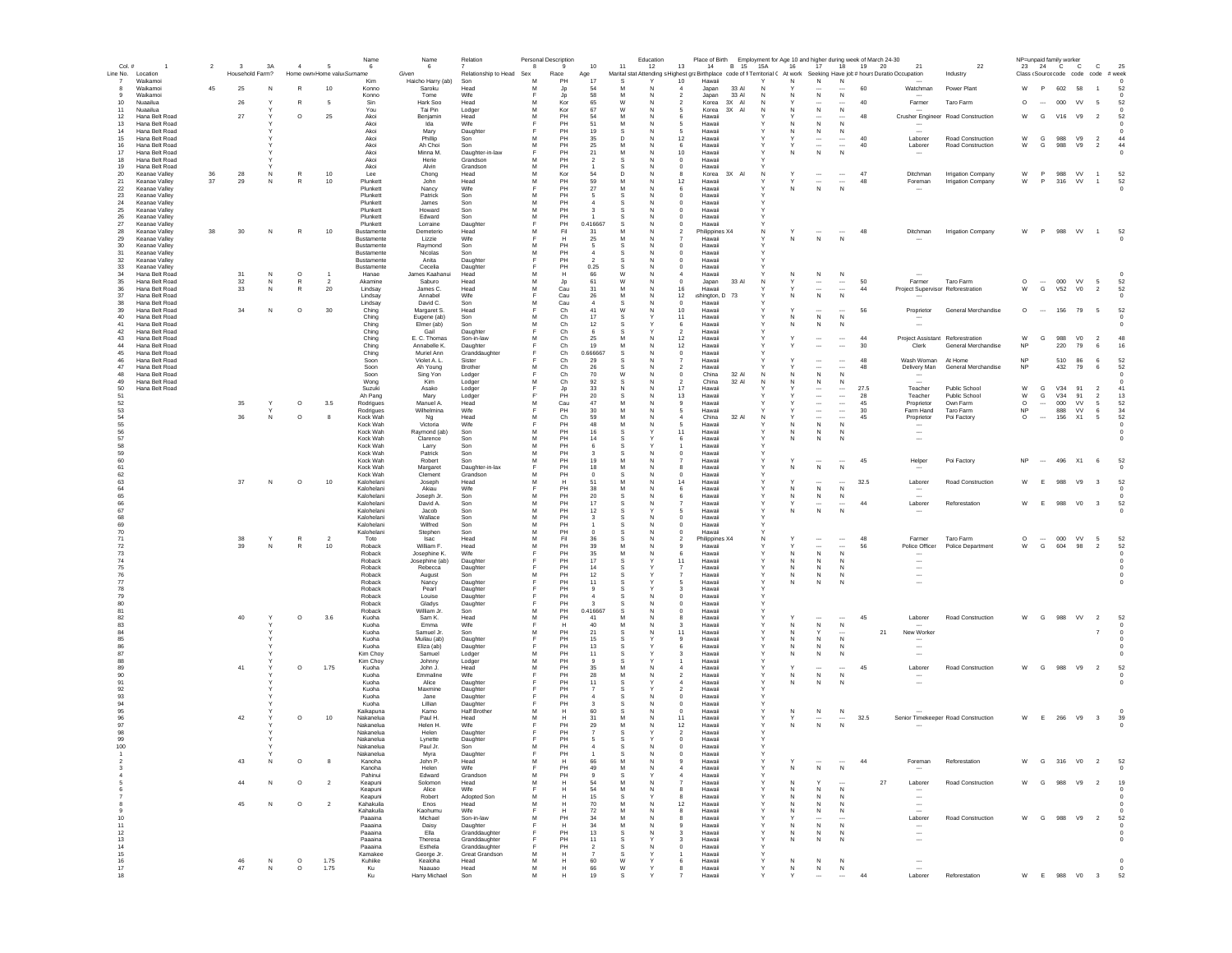| Col.#                | $\overline{1}$                   | $\overline{2}$ | $\overline{\mathbf{3}}$ | 3A     | $\overline{4}$     | 5                          | Name<br>6                | Name<br>6                    | Relation                       | 8      | Personal Description<br>9 | 10                   | 11                | Education<br>12 | 13                                                             | Place of Birth Employment for Age 10 and higher during week of March 24-30<br>14<br>B 15 15A |        | 16                | 17                                                   |                                                      | 18 19 20 | 21                                                                                                                          | 22                                                      |                        |                          | NP=unpaid family worker<br>23 24 C C | $\mathbf{C}$                        | 25                   |  |
|----------------------|----------------------------------|----------------|-------------------------|--------|--------------------|----------------------------|--------------------------|------------------------------|--------------------------------|--------|---------------------------|----------------------|-------------------|-----------------|----------------------------------------------------------------|----------------------------------------------------------------------------------------------|--------|-------------------|------------------------------------------------------|------------------------------------------------------|----------|-----------------------------------------------------------------------------------------------------------------------------|---------------------------------------------------------|------------------------|--------------------------|--------------------------------------|-------------------------------------|----------------------|--|
|                      | Line No. Location                |                | Household Farm?         |        |                    | Home own Home valu Surname |                          | Given                        | Relationship to Head Sex       |        | Race                      | Age                  |                   |                 |                                                                |                                                                                              |        |                   |                                                      |                                                      |          | Marital stat Attending s Highest graBirthplace code of fi Territorial ( At work Seeking Have job # hours Duratio Occupation | Industry                                                |                        |                          |                                      | Class (Source code code code # week |                      |  |
| $\overline{7}$<br>-8 | Waikamoi<br>Waikamoi             | 45             | 25                      | N      | R                  | 10                         | Kim<br>Konno             | Haicho Harry (ab)<br>Saroku  | Son<br>Head                    | M<br>M | PH<br>Jp                  | 17<br>54             |                   |                 | 10<br>Hawaii<br>Japan                                          | 33 A                                                                                         |        | N                 | ${\sf N}$                                            | $\,$ N                                               | 60       | Watchman                                                                                                                    | Power Plant                                             | W                      | P                        | 602 58                               |                                     | 52                   |  |
| 9<br>10              | Waikamoi<br>Nuaailua             |                | 26                      |        | R                  | -5                         | Konno<br>Sin             | Tome<br>Hark Soo             | Wife<br>Head                   | м      | Jp<br>Kor                 | 58<br>65             | M<br>W            | N<br>N          | $\overline{2}$<br>Japan<br>$\overline{2}$<br>Korea             | 33 Al<br>3X AI                                                                               | N<br>N | N                 | $\,N\,$                                              | $\,N\,$<br>                                          | 40       | Farmer                                                                                                                      | Taro Farm                                               | $\circ$                | $\sim$                   | 000 VV                               | - 5                                 | 52                   |  |
| 11                   | Nuaailua                         |                |                         |        |                    |                            | You                      | Tai Pin                      | Lodger                         | M      | Kor                       | 67                   | W                 | N               | -5<br>Korea                                                    | 3X AI                                                                                        | N      | N                 | $\cdots$<br>$\,$ N                                   | N                                                    |          |                                                                                                                             |                                                         |                        |                          |                                      |                                     |                      |  |
| 12<br>13             | Hana Belt Road<br>Hana Belt Road |                | 27                      |        | $\circ$            | 25                         | Akoi<br>Akoi             | Benjamin<br>Ida              | Head<br>Wife                   | м<br>Е | PH<br>PH                  | -54<br>51            | M                 | N               | -6<br>Hawaii<br>-5<br>Hawaii                                   |                                                                                              |        | N                 | $\sim$<br>N                                          | <br>N                                                | 48       | $\sim$                                                                                                                      | Crusher Engineer Road Construction                      | W                      | G                        | V16<br>V9                            | $\overline{\phantom{0}}$            | 52                   |  |
| 14                   | Hana Belt Road                   |                |                         |        |                    |                            | Akoi                     | Mary                         | Daughter                       |        | PH                        | 19                   | s                 | N               | -5<br>Hawaii                                                   |                                                                                              |        | N                 | N                                                    | N                                                    |          | $\overline{a}$                                                                                                              |                                                         |                        |                          |                                      |                                     | $\Omega$             |  |
| 15<br>16             | Hana Belt Road<br>Hana Belt Road |                |                         |        |                    |                            | Akoi<br>Akoi             | Phillip<br>Ah Choi           | Son<br>Son                     | M<br>M | PH<br>PH                  | 35<br>25             | D.<br>M           | N<br>N          | 12<br>Hawaii<br>-6<br>Hawaii                                   |                                                                                              |        |                   | $\overline{\phantom{a}}$<br>$\overline{\phantom{a}}$ | $\overline{\phantom{a}}$<br>$\overline{\phantom{a}}$ | 40<br>40 | Laborer<br>Laborer                                                                                                          | Road Construction<br>Road Construction                  | W<br>W                 | G<br>G                   | 988<br>V9<br>988<br>V9               | $\overline{2}$<br>$\overline{2}$    | 44<br>44             |  |
| 17                   | Hana Belt Road                   |                |                         |        |                    |                            | Akoi                     | Minna M.                     | Daughter-in-law                | E<br>M | PH<br>PH                  | 21<br>$\overline{2}$ | M<br>s            | N<br>N          | 10 <sup>1</sup><br>Hawaii                                      |                                                                                              |        | N                 | ${\sf N}$                                            | N                                                    |          |                                                                                                                             |                                                         |                        |                          |                                      |                                     | $\Omega$             |  |
| 18<br>19             | Hana Belt Road<br>Hana Belt Road |                |                         |        |                    |                            | Akoi<br>Akoi             | Herie<br>Alvin               | Grandson<br>Grandson           | M      | PH                        |                      |                   | N               | Hawaii<br>$\circ$<br>$\mathbf 0$<br>Hawaii                     |                                                                                              |        |                   |                                                      |                                                      |          |                                                                                                                             |                                                         |                        |                          |                                      |                                     |                      |  |
| 20<br>21             | Keanae Valley<br>Keanae Valley   | 36<br>37       | 28<br>29                |        | R<br>$\mathsf R$   | $10$<br>$10$               | Lee<br>Plunkett          | Chong<br>John                | Head<br>Head                   | M<br>M | Kor<br>PH                 | 54<br>59             | D<br>M            | N               | 8<br>Korea<br>$12 \overline{ }$<br>Hawaii                      | 3X AI                                                                                        | N      |                   | $\overline{\phantom{a}}$                             | $\cdots$<br>$\ldots$                                 | 47<br>48 | Ditchman<br>Foreman                                                                                                         | <b>Irrigation Company</b><br><b>Irrigation Company</b>  | W<br>W                 | P<br>P                   | 988 VV<br>316 VV                     | $\overline{1}$<br>$\overline{1}$    | 52<br>52             |  |
| 22                   | Keanae Valley                    |                |                         |        |                    |                            | Plunkett                 | Nancy                        | Wife                           |        | PH                        | 27                   | M                 |                 | 6<br>Hawaii                                                    |                                                                                              |        | N                 | $\,$ N                                               | N                                                    |          |                                                                                                                             |                                                         |                        |                          |                                      |                                     | $^{\circ}$           |  |
| 23<br>24             | Keanae Valley<br>Keanae Valley   |                |                         |        |                    |                            | Plunkett<br>Plunkett     | Patrick<br>James             | Son<br>Son                     | M      | PH<br>PH                  |                      |                   |                 | $^{\circ}$<br>Hawaii<br>$^{\circ}$<br>Hawaii                   |                                                                                              |        |                   |                                                      |                                                      |          |                                                                                                                             |                                                         |                        |                          |                                      |                                     |                      |  |
| 25                   | Keanae Valley                    |                |                         |        |                    |                            | Plunkett                 | Howard                       | Son                            | м      | PH                        | $\mathbf{3}$         |                   | N               | $^{\circ}$<br>Hawaii                                           |                                                                                              |        |                   |                                                      |                                                      |          |                                                                                                                             |                                                         |                        |                          |                                      |                                     |                      |  |
| 26<br>27             | Keanae Valley<br>Keanae Valley   |                |                         |        |                    |                            | Plunkett<br>Plunkett     | Edward<br>Lorraine           | Son<br>Daughter                | M      | PH<br>PH                  | 0.416667             | -S                | N<br><b>N</b>   | $^{\circ}$<br>Hawaii<br>Hawaii<br>$\Omega$                     |                                                                                              |        |                   |                                                      |                                                      |          |                                                                                                                             |                                                         |                        |                          |                                      |                                     |                      |  |
| 28<br>29             | Keanae Valley<br>Keanae Valley   | 38             | 30                      | N      | R                  | 10                         | Bustamente<br>Bustamente | Demeterio                    | Head<br>Wife                   | M      | Fil<br>H                  | 31<br>25             | м<br>M            | N<br>N          | $\overline{2}$<br>Hawaii                                       | Philippines X4                                                                               | N      | Y<br>N            | $\cdots$<br>$\,$ N                                   | $\sim$<br>N                                          | 48       | Ditchman                                                                                                                    | <b>Irrigation Company</b>                               | W                      | P                        | 988 VV 1                             |                                     | 52                   |  |
| 30                   | Keanae Valley                    |                |                         |        |                    |                            | Bustamente               | Lizzie<br>Raymond            | Son                            | M      | PH                        | -5                   | s                 | N               | $\Omega$<br>Hawaii                                             |                                                                                              |        |                   |                                                      |                                                      |          |                                                                                                                             |                                                         |                        |                          |                                      |                                     |                      |  |
| 31<br>- 32           | Keanae Valley<br>Keanae Valley   |                |                         |        |                    |                            | Bustamente<br>Bustamente | Nicolas<br>Anita             | Son<br>Daughter                | M<br>E | PH<br>PH                  | $\overline{2}$       | s                 | N               | Hawaii<br>$\Omega$<br>$\Omega$<br>Hawaii                       |                                                                                              |        |                   |                                                      |                                                      |          |                                                                                                                             |                                                         |                        |                          |                                      |                                     |                      |  |
| 33                   | Keanae Valley                    |                |                         |        |                    |                            | Bustamente               | Cecelia                      | Daughter                       | F      | PH                        | 0.25                 | s                 | N               | $\circ$<br>Hawaii                                              |                                                                                              |        |                   |                                                      |                                                      |          |                                                                                                                             |                                                         |                        |                          |                                      |                                     |                      |  |
| 34<br>35             | Hana Belt Road<br>Hana Belt Road |                | 31<br>32                | N<br>N | $\circ$<br>R       | $\overline{2}$             | Hanae<br>Akamine         | James Kaahanui<br>Saburo     | Head<br>Head                   | M<br>M | н<br>Jp                   | 66<br>61             | W<br>W            | N<br>N          | Hawaii<br>$\circ$<br>Japan                                     | 33 Al                                                                                        | N      |                   | N<br>                                                | N<br>$\ldots$                                        | 50       | Farmer                                                                                                                      | Taro Farm                                               | $\circ$                | $\overline{\phantom{a}}$ | $000$ VV                             | $\sqrt{5}$                          | 52                   |  |
| 36                   | Hana Belt Road                   |                | 33                      | N      | R                  | 20                         | Lindsay                  | James C.                     | Head                           | M      | Cau                       | 31                   | M                 | N               | 16<br>Hawaii                                                   |                                                                                              |        |                   | $\overline{\phantom{a}}$                             | $\overline{\phantom{a}}$                             | 44       |                                                                                                                             | Project Supervisor Reforestration                       | W                      | G                        | <b>V52</b><br>V <sub>0</sub>         | $\overline{2}$                      | 52                   |  |
| 37<br>38             | Hana Belt Road<br>Hana Belt Road |                |                         |        |                    |                            | Lindsay<br>Lindsay       | Annabel<br>David C.          | Wife<br>Son                    |        | Cau<br>Cau                | 26                   | M                 |                 | 12<br>ishington, D<br>$^{\circ}$<br>Hawaii                     | 73                                                                                           |        | N                 | ${\sf N}$                                            | N                                                    |          |                                                                                                                             |                                                         |                        |                          |                                      |                                     | $^{\circ}$           |  |
| 39                   | Hana Belt Road                   |                | 34                      | N      | $\circ$            | $30\,$                     | Ching                    | Margaret S.                  | Head                           |        | Ch                        | 41                   | W                 |                 | 10<br>Hawaii                                                   |                                                                                              |        |                   | $\ddotsc$                                            | $\cdots$                                             | 56       | Proprietor                                                                                                                  | General Merchandise                                     | $\circ$                | $\cdots$                 | 156                                  | 79 5                                | 52                   |  |
| 40<br>41             | Hana Belt Road<br>Hana Belt Road |                |                         |        |                    |                            | Ching<br>Ching           | Eugene (ab)<br>Elmer (ab)    | Son<br>Son                     | м<br>M | Ch<br>Ch                  | 17<br>12             | -S<br>-S          |                 | 11<br>Hawaii<br>6<br>Hawaii                                    |                                                                                              | Y      | N.<br>N           | N<br>$\mathbb N$                                     | $\mathbb N$<br>N                                     |          |                                                                                                                             |                                                         |                        |                          |                                      |                                     |                      |  |
| 42                   | Hana Belt Road                   |                |                         |        |                    |                            | Ching                    | Gail                         | Daughter                       |        | Ch                        |                      |                   |                 | Hawaii<br>2                                                    |                                                                                              |        |                   |                                                      |                                                      |          |                                                                                                                             |                                                         |                        |                          |                                      |                                     |                      |  |
| 43<br>44             | Hana Belt Road<br>Hana Belt Road |                |                         |        |                    |                            | Ching<br>Ching           | E. C. Thomas<br>Annabelle K. | Son-in-law<br>Daughter         | M<br>E | Ch<br>Ch                  | 25<br>19             | M<br>м            | N<br>N          | 12<br>Hawaii<br>12<br>Hawaii                                   |                                                                                              | Y      | Y                 | $\cdots$<br>$\overline{\phantom{a}}$                 | $\cdots$<br>$\overline{\phantom{a}}$                 | 44<br>30 | Clerk                                                                                                                       | Project Assistant Reforestration<br>General Merchandise | W<br><b>NP</b>         | G                        | 988<br>V <sub>0</sub><br>220<br>79   | $\overline{2}$<br>6                 | 48<br>16             |  |
| 45                   | Hana Belt Road                   |                |                         |        |                    |                            | Ching                    | Muriel Ann                   | Granddaughter                  |        | Ch                        | 0.666667             | s                 | N               | $\overline{0}$<br>Hawaii                                       |                                                                                              |        |                   |                                                      |                                                      |          |                                                                                                                             |                                                         |                        |                          |                                      |                                     |                      |  |
| 46<br>47             | Hana Belt Road<br>Hana Belt Road |                |                         |        |                    |                            | Soon<br>Soon             | Violet A.L.<br>Ah Young      | Sister<br><b>Brother</b>       | M      | Ch<br>Ch                  | 29<br>26             | -S                | N               | Hawaii<br>$\overline{2}$<br>Hawaii                             |                                                                                              |        |                   | $\overline{\phantom{a}}$<br>$\overline{\phantom{a}}$ | $\overline{\phantom{a}}$<br>$\overline{\phantom{a}}$ | 48<br>48 | Wash Woman<br>Delivery Man                                                                                                  | At Home<br>General Merchandise                          | <b>NP</b><br><b>NP</b> |                          | 510<br>86<br>432<br>79               | 6<br>6                              | 52<br>52             |  |
| 48                   | Hana Belt Road                   |                |                         |        |                    |                            | Soon                     | Sing Yon                     | Lodger                         | F      | Ch                        | 70                   | W                 | N               | China<br>$\circ$                                               | 32 Al                                                                                        | N      | Ν                 | ${\sf N}$                                            | N                                                    |          |                                                                                                                             |                                                         |                        |                          |                                      |                                     |                      |  |
| 49<br>50             | Hana Belt Road<br>Hana Belt Road |                |                         |        |                    |                            | Wong<br>Suzuki           | Kim<br>Asako                 | Lodger<br>Lodger               | M      | Ch<br>Jp                  | 92<br>33             |                   |                 | China<br>17<br>Hawai                                           | 32 Al                                                                                        | N      |                   | N                                                    | N                                                    | 27.5     | Teacher                                                                                                                     | Public School                                           | W                      | G                        | V34<br>91                            | $\overline{2}$                      | 41                   |  |
| 51                   |                                  |                |                         |        |                    |                            | Ah Pang                  | Mary                         | Lodger                         | M      | PH                        | 20<br>47             | S<br>M            | N               | 13<br>Hawaii<br>9                                              |                                                                                              |        |                   | $\overline{\phantom{a}}$                             | $\ldots$                                             | 28       | Teacher                                                                                                                     | Public School                                           | W                      | G                        | V34<br>91                            | $\overline{2}$                      | 13                   |  |
| 52<br>53             |                                  |                | 35                      | Υ      | $\circ$            | 3.5                        | Rodrigues<br>Rodrigues   | Manuel A.<br>Wilhelmina      | Head<br>Wife                   |        | Cau<br>PH                 | 30                   |                   |                 | Hawaii<br>Hawaii<br>-5                                         |                                                                                              |        |                   | $\cdots$<br>$\ddotsc$                                | $\ldots$<br>$\ldots$                                 | 45<br>30 | Proprietor<br>Farm Hand                                                                                                     | Own Farm<br>Taro Farm                                   | $\circ$<br>NP          | $\cdots$                 | 000<br>VV<br>888<br>VV               | 5<br>6                              | 52<br>34             |  |
| 54<br>55             |                                  |                | 36                      | N      | $\circ$            |                            | Kock Wah                 | Ng                           | Head                           | M      | Ch                        | 59                   | M<br>M            |                 | China<br>4                                                     | 32 Al                                                                                        | N      |                   | $\cdots$<br>N                                        | $\overline{\phantom{a}}$                             | 45       | Proprietor                                                                                                                  | Poi Factory                                             | $\circ$                | $\overline{\phantom{a}}$ | 156<br>X1                            | 5                                   | 52                   |  |
| 56                   |                                  |                |                         |        |                    |                            | Kock Wah<br>Kock Wah     | Victoria<br>Raymond (ab)     | Wife<br>Son                    | Е<br>м | PH<br>PH                  | 48<br>16             | s                 | N               | -5<br>Hawaii<br>11<br>Hawaii                                   |                                                                                              |        | N<br>N            | N                                                    | N<br>N                                               |          | $\overline{\phantom{a}}$<br>$\overline{\phantom{a}}$                                                                        |                                                         |                        |                          |                                      |                                     | $\Omega$<br>$\Omega$ |  |
| 57<br>58             |                                  |                |                         |        |                    |                            | Kock Wah<br>Kock Wah     | Clarence                     | Son<br>Son                     | м<br>M | PH<br>PH                  | 14<br>-6             | s                 |                 | 6<br>Hawaii<br>Hawaii                                          |                                                                                              | Y      | N                 | N                                                    | N                                                    |          | $\overline{\phantom{a}}$                                                                                                    |                                                         |                        |                          |                                      |                                     |                      |  |
| 59                   |                                  |                |                         |        |                    |                            | Kock Wah                 | Larry<br>Patrick             | Son                            | M      | PH                        | ્વ                   | s                 | N               | $\Omega$<br>Hawaii                                             |                                                                                              |        |                   |                                                      |                                                      |          |                                                                                                                             |                                                         |                        |                          |                                      |                                     |                      |  |
| 60<br>61             |                                  |                |                         |        |                    |                            | Kock Wah<br>Kock Wah     | Robert                       | Son<br>Daughter-in-lax         | M      | PH<br>PH                  | 19<br>18             | M<br>M            | N               | Hawaii<br>Hawaii<br>8                                          |                                                                                              | v      | $\checkmark$<br>N | $\overline{\phantom{a}}$<br>N                        | $\overline{\phantom{a}}$<br>N                        | 45       | Helper                                                                                                                      | Poi Factory                                             | <b>NP</b>              | $\sim$                   | 496 X1 6                             |                                     | 52                   |  |
| 62                   |                                  |                |                         |        |                    |                            | Kock Wah                 | Margaret<br>Clement          | Grandson                       | M      | PH                        | $\Omega$             | s                 | N               | $\Omega$<br>Hawaii                                             |                                                                                              |        |                   |                                                      |                                                      |          |                                                                                                                             |                                                         |                        |                          |                                      |                                     |                      |  |
| 63<br>64             |                                  |                | 37                      | N      | $\circ$            | 10                         | Kalohelani<br>Kalohelani | Joseph<br>Akiau              | Head<br>Wife                   | M<br>Е | H<br>PH                   | 51<br>38             | M<br>M            | N               | 14<br>Hawaii<br>6<br>Hawaii                                    |                                                                                              |        |                   | ${\sf N}$                                            | N                                                    | 32.5     | Laborer                                                                                                                     | Road Construction                                       | W                      | E                        | 988<br>V9                            | $\overline{\mathbf{3}}$             | 52                   |  |
| 65                   |                                  |                |                         |        |                    |                            | Kalohelani               | Joseph Jr.                   | Son                            | M      | PH                        | 20                   |                   |                 | Hawaii                                                         |                                                                                              |        | Ν                 | ${\sf N}$                                            | N                                                    |          |                                                                                                                             |                                                         |                        |                          |                                      |                                     |                      |  |
| 66<br>67             |                                  |                |                         |        |                    |                            | Kalohelani<br>Kalohelani | David A.<br>Jacob            | Son<br>Son                     | M<br>M | PH<br>PH                  | 17<br>12             | s                 | N               | Hawaii<br>Hawaii<br>5                                          |                                                                                              |        | N                 | ${\sf N}$                                            | N                                                    | 44       | Laborer                                                                                                                     | Reforestation                                           | W                      | E                        | 988<br>V <sub>0</sub>                | $\overline{\mathbf{3}}$             | 52<br>$^{\circ}$     |  |
| 68                   |                                  |                |                         |        |                    |                            | Kalohelani               | Wallace                      | Son                            | M      | PH                        |                      |                   |                 | Hawaii<br>0                                                    |                                                                                              |        |                   |                                                      |                                                      |          |                                                                                                                             |                                                         |                        |                          |                                      |                                     |                      |  |
| 69<br>70             |                                  |                |                         |        |                    |                            | Kalohelani<br>Kalohelani | Wilfred<br>Stephen           | Son<br>Son                     | M<br>M | PH<br>PH                  | $\Omega$             | s                 |                 | Hawaii<br>$^{\circ}$<br>Hawaii<br>$\Omega$                     |                                                                                              |        |                   |                                                      |                                                      |          |                                                                                                                             |                                                         |                        |                          |                                      |                                     |                      |  |
| 71                   |                                  |                | 38                      | Y      | R                  | $\overline{2}$             | Toto                     | Isac                         | Head                           | M      | Fil                       | 36                   | -S                | N               | $\overline{2}$                                                 | Philippines X4                                                                               | N      | Y                 | $\cdots$                                             | $\cdots$                                             | 48       | Farmer                                                                                                                      | Taro Farm                                               | $\circ$                | $\sim$                   | 000<br>VV                            | - 5                                 | 52                   |  |
| 72<br>73             |                                  |                | 39                      | N      | R                  | 10                         | Roback<br>Roback         | William F.<br>Josephine K.   | Head<br>Wife                   | м<br>Е | PH<br>PH                  | 39<br>35             | M                 | N               | Hawaii<br>s<br>-6<br>Hawaii                                    |                                                                                              | Y      | N                 | $\ddotsc$<br>$\,$ N                                  | $\overline{\phantom{a}}$<br>N                        | 56       | Police Officer                                                                                                              | Police Department                                       | W                      | G                        | 604<br>98                            | $\overline{2}$                      | 52<br>$^{\circ}$     |  |
| 74                   |                                  |                |                         |        |                    |                            | Roback                   | Josephine (ab)               | Daughter                       |        | PH                        | 17                   | s                 |                 | 11<br>Hawaii                                                   |                                                                                              |        | N                 | N                                                    | $\mathsf{N}$                                         |          | $\overline{\phantom{a}}$                                                                                                    |                                                         |                        |                          |                                      |                                     |                      |  |
| 75<br>76             |                                  |                |                         |        |                    |                            | Roback<br>Roback         | Rebecca<br>August            | Daughter<br>Son                | E<br>м | PH<br>PH                  | 14<br>12             | -S<br>s           |                 | Hawaii<br>$\overline{7}$<br>Hawaii                             |                                                                                              | Y      | N<br>N            | N<br>N                                               | N<br>N                                               |          | $\overline{\phantom{a}}$<br>$\overline{\phantom{a}}$                                                                        |                                                         |                        |                          |                                      |                                     | $\Omega$             |  |
| 77                   |                                  |                |                         |        |                    |                            | Roback                   | Nancy                        | Daughter                       | Е      | PH                        | 11                   | -S                |                 | Hawaii<br>5                                                    |                                                                                              | Υ      | N                 | N                                                    | N                                                    |          | $\overline{\phantom{a}}$                                                                                                    |                                                         |                        |                          |                                      |                                     | $\Omega$             |  |
| 78<br>79             |                                  |                |                         |        |                    |                            | Roback<br>Roback         | Pearl<br>Louise              | Daughter<br>Daughter           |        | PH<br>PH                  | $\mathbf{q}$         | s                 |                 | 3<br>Hawaii<br>$\mathbf 0$<br>Hawaii                           |                                                                                              |        |                   |                                                      |                                                      |          |                                                                                                                             |                                                         |                        |                          |                                      |                                     |                      |  |
| 80                   |                                  |                |                         |        |                    |                            | Roback                   | Gladys                       | Daughter                       |        | PH                        |                      |                   |                 | $\bf{0}$<br>Hawaii                                             |                                                                                              |        |                   |                                                      |                                                      |          |                                                                                                                             |                                                         |                        |                          |                                      |                                     |                      |  |
| 81<br>82             |                                  |                | 40                      |        | $\circ$            | 3.6                        | Roback<br>Kuoha          | William Jr.<br>Sam K.        | Son<br>Head                    | м<br>M | PH<br>PH                  | 0.416667<br>41       | s                 |                 | 0<br>Hawaii<br>Hawaii<br>8                                     |                                                                                              |        |                   | $\cdots$                                             | $\cdots$                                             | 45       | Laborer                                                                                                                     | Road Construction                                       | W                      | G                        | 988<br>VV                            | $\overline{2}$                      | 52                   |  |
| 83<br>84             |                                  |                |                         |        |                    |                            | Kuoha<br>Kuoha           | Emma<br>Samuel Jr.           | Wife<br>Son                    | M      | н<br>PH                   | 40<br>21             | s                 |                 | Hawaii<br>3<br>11<br>Hawaii                                    |                                                                                              |        | N<br>N            | N<br>Y                                               | $\,N\,$                                              |          | 21<br>New Worker                                                                                                            |                                                         |                        |                          |                                      | $\overline{7}$                      | $\overline{0}$       |  |
| 85                   |                                  |                |                         |        |                    |                            | Kuoha                    | Muilau (ab)                  | Daughter                       |        | PH                        | 15                   | -S                |                 | $\mathbf{Q}$<br>Hawaii                                         |                                                                                              |        | N                 | N                                                    | N                                                    |          |                                                                                                                             |                                                         |                        |                          |                                      |                                     |                      |  |
| 86<br>87             |                                  |                |                         |        |                    |                            | Kuoha<br>Kim Chov        | Eliza (ab)<br>Samuel         | Daughter<br>Lodger             | м      | PH<br>PH                  | 13<br>11             | -S<br>-S          |                 | Hawaii<br>6<br>Hawaii                                          |                                                                                              | Y      | N<br>N            | N<br>N                                               | N<br>N                                               |          | $\overline{\phantom{a}}$<br>$\overline{\phantom{a}}$                                                                        |                                                         |                        |                          |                                      |                                     |                      |  |
| 88                   |                                  |                |                         |        |                    |                            | Kim Chov                 | Johnny                       | Lodger                         | M      | PH                        | $\mathbf{a}$         | -S                |                 | Hawaii                                                         |                                                                                              | Y      |                   |                                                      |                                                      |          |                                                                                                                             |                                                         |                        |                          |                                      |                                     |                      |  |
| 89<br>90             |                                  |                | 41                      |        | $\circ$            | 1.75                       | Kuoha<br>Kuoha           | John J.<br>Emmaline          | Head<br>Wife                   | M<br>E | PH<br>PH                  | 35<br>28             | M<br>M            | N<br>N          | Hawaii<br>$\overline{a}$<br>Hawaii<br>$\overline{\phantom{a}}$ |                                                                                              | Y      | N                 | ${\sf N}$                                            | $\overline{\phantom{a}}$<br>N                        | 45       | Laborer                                                                                                                     | Road Construction                                       | W                      | G                        | 988 V9                               | $\overline{\phantom{0}}$            | 52                   |  |
| 91                   |                                  |                |                         |        |                    |                            | Kuoha                    | Alice                        | Daughter                       |        | PH                        | 11                   | s                 |                 | Hawaii                                                         |                                                                                              |        | N                 | N                                                    | N                                                    |          | $\overline{\phantom{a}}$                                                                                                    |                                                         |                        |                          |                                      |                                     |                      |  |
| 92<br>93             |                                  |                |                         |        |                    |                            | Kuoha<br>Kuoha           | Maxmine<br>Jane              | Daughter<br>Daughter           |        | PH<br>PH                  | $\overline{7}$       | s                 |                 | Hawaii<br>$\overline{\phantom{a}}$<br>0<br>Hawaii              |                                                                                              |        |                   |                                                      |                                                      |          |                                                                                                                             |                                                         |                        |                          |                                      |                                     |                      |  |
| 94                   |                                  |                |                         |        |                    |                            | Kuoha                    | Lillian                      | Daughter                       |        | PH                        |                      |                   |                 | $\mathbf 0$<br>Hawaii                                          |                                                                                              |        |                   |                                                      |                                                      |          |                                                                                                                             |                                                         |                        |                          |                                      |                                     |                      |  |
| 95<br>96             |                                  |                | 42                      |        | $\circ$            | 10                         | Kaikapuna<br>Nakanelua   | Kamo<br>Paul H.              | <b>Half Brother</b><br>Head    | M<br>M | Н<br>н                    | 60<br>31             | M                 |                 | $\mathbf 0$<br>Hawaii<br>11<br>Hawaii                          |                                                                                              |        |                   | N                                                    | N                                                    | 32.5     |                                                                                                                             | Senior Timekeeper Road Construction                     | W                      | E                        | 266 V9                               | $\overline{\mathbf{3}}$             | 39                   |  |
| 97                   |                                  |                |                         |        |                    |                            | Nakanelua                | Helen H.                     | Wife                           |        | PH                        | 29                   | M                 |                 | 12<br>Hawaii                                                   |                                                                                              |        | N                 | $\,$ N                                               | $\,$ N                                               |          |                                                                                                                             |                                                         |                        |                          |                                      |                                     | $^{\circ}$           |  |
| 98<br>99             |                                  |                |                         |        |                    |                            | Nakanelua<br>Nakanelua   | Helen<br>Lynette             | Daughter<br>Daughter           |        | PH<br>PH                  | -5                   | s                 |                 | Hawaii<br>$\overline{2}$<br>$\mathbb O$<br>Hawaii              |                                                                                              |        |                   |                                                      |                                                      |          |                                                                                                                             |                                                         |                        |                          |                                      |                                     |                      |  |
| 100                  |                                  |                |                         |        |                    |                            | Nakanelua                | Paul Jr.                     | Son                            | м      | PH                        | $\sim$               | -S                |                 | $^{\circ}$<br>Hawaii                                           |                                                                                              |        |                   |                                                      |                                                      |          |                                                                                                                             |                                                         |                        |                          |                                      |                                     |                      |  |
|                      |                                  |                | 43                      | N      | $\circ$            | -8                         | Nakanelua<br>Kanoha      | Mvra<br>John P.              | Daughte<br>Head                | м      | PН<br>H                   | 66                   | M                 | N               | Hawai<br>Hawaii                                                |                                                                                              |        |                   |                                                      |                                                      | 44       | Foreman                                                                                                                     | Reforestation                                           | W                      | G                        | 316<br>V <sub>0</sub>                | $\overline{2}$                      | 52                   |  |
|                      |                                  |                |                         |        |                    |                            | Kanoha                   | Helen                        | Wife                           | E      | PH                        | 49                   | M                 | N               | Hawaii                                                         |                                                                                              | Υ      | N                 | ${\sf N}$                                            | $\,N\,$                                              |          |                                                                                                                             |                                                         |                        |                          |                                      |                                     | $^{\circ}$           |  |
|                      |                                  |                | 44                      | N      | $\circ$            | $\overline{2}$             | Pahinui<br>Keapuni       | Edward<br>Solomon            | Grandson<br>Head               | M<br>M | PH<br>н                   | 54                   | M                 | N               | Hawaii<br>Hawaii                                               |                                                                                              |        | N                 | Y                                                    |                                                      |          | 27<br>Laborer                                                                                                               | Road Construction                                       | w                      | G                        | 988<br>V9                            | $\overline{2}$                      | 19                   |  |
|                      |                                  |                |                         |        |                    |                            | Keapuni                  | Alice                        | Wife                           |        | н                         | 54                   | M                 | N               | Hawaii                                                         |                                                                                              |        | N                 | $\mathbb N$                                          | N                                                    |          |                                                                                                                             |                                                         |                        |                          |                                      |                                     |                      |  |
| 8                    |                                  |                | 45                      | N      | $\circ$            | $\overline{2}$             | Keapuni<br>Kahakuila     | Robert<br>Enos               | Adopted Sor<br>Head            | M<br>M | н<br>H                    | 15<br>70             | $\mathbf{s}$<br>M | N               | Hawaii<br>8<br>12<br>Hawaii                                    |                                                                                              | Υ      | N<br>N            | N<br>${\sf N}$                                       | N<br>N                                               |          | $\overline{\phantom{a}}$<br>$\overline{\phantom{a}}$                                                                        |                                                         |                        |                          |                                      |                                     | $\Omega$             |  |
| $\,9$                |                                  |                |                         |        |                    |                            | Kahakuila                | Kaohumu                      | Wife                           |        | н                         | 72                   | M                 | N               | Hawaii                                                         |                                                                                              |        |                   | N                                                    | N                                                    |          |                                                                                                                             |                                                         |                        |                          |                                      |                                     |                      |  |
| 10<br>11             |                                  |                |                         |        |                    |                            | Paaaina<br>Paaaina       | Michael<br>Daisy             | Son-in-law<br>Daughter         | M<br>Е | PH<br>н                   | 34<br>34             | M<br>M            | N               | Hawaii<br>g<br>Hawaii                                          |                                                                                              |        |                   | ${\sf N}$                                            | N                                                    |          | Laborer                                                                                                                     | Road Construction                                       | W                      | G                        | 988<br>V9                            | $\overline{2}$                      | 52                   |  |
| 12                   |                                  |                |                         |        |                    |                            | Paaaina                  | Ella                         | Granddaughter                  |        | PH                        | 13                   | s                 |                 | Hawaii<br>-3                                                   |                                                                                              | Υ      | N                 | ${\sf N}$                                            | N                                                    |          | $\sim$                                                                                                                      |                                                         |                        |                          |                                      |                                     | $^{\circ}$           |  |
| 13<br>14             |                                  |                |                         |        |                    |                            | Paaaina<br>Paaaina       | Theresa<br>Esthela           | Granddaughter<br>Granddaughter |        | PH<br>PH                  | 11<br>$\overline{2}$ |                   |                 | Hawaii<br>Hawaii<br>$^{\circ}$                                 |                                                                                              | Υ      | N                 | $\mathbb N$                                          | N                                                    |          | $\ddotsc$                                                                                                                   |                                                         |                        |                          |                                      |                                     | $^{\circ}$           |  |
| 15                   |                                  |                |                         |        |                    |                            | Kamakee                  | George Jr.                   | <b>Great Grandson</b>          | M      | H                         |                      | -S                |                 | Hawaii                                                         |                                                                                              |        |                   |                                                      |                                                      |          |                                                                                                                             |                                                         |                        |                          |                                      |                                     |                      |  |
| 16<br>17             |                                  |                | 46<br>47                | N<br>N | $\circ$<br>$\circ$ | 1.75<br>1.75               | Kuhiike<br>Ku            | Kealoha<br>Naauao            | Head<br>Head                   | M<br>м | H<br>н                    | 60<br>66             | W<br>W            |                 | -6<br>Hawaii<br>Hawaii                                         |                                                                                              | Y      | N<br>N            | N<br>$\,N\,$                                         | N<br>N                                               |          | $\overline{\phantom{a}}$<br>$\overline{\phantom{a}}$                                                                        |                                                         |                        |                          |                                      |                                     | $\Omega$             |  |
| 18                   |                                  |                |                         |        |                    |                            | Ku                       | Harry Michael                | Son                            | M      | H                         | 19                   | s                 |                 | Hawaii                                                         |                                                                                              |        |                   |                                                      |                                                      | 44       | Laborer                                                                                                                     | Reforestation                                           |                        |                          | W E 988 VO                           | $\overline{\phantom{a}}$            | 52                   |  |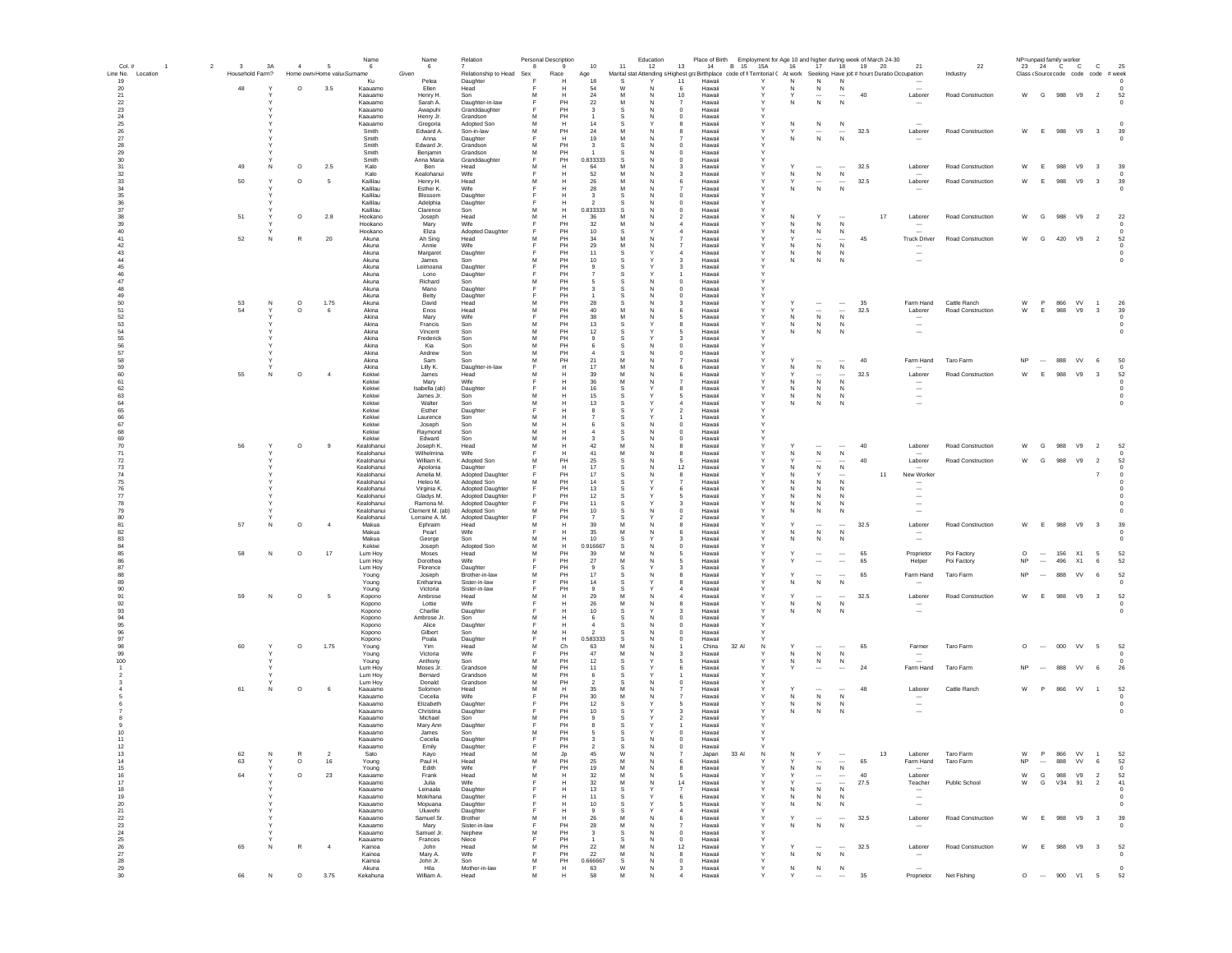| Col.#                   | $\overline{2}$ | $\mathbf{3}$    | 3A           | $\overline{4}$     | 5                          | Name<br>-6               | Name<br>6                    | Relation                             | 8       | Personal Description<br>$\mathbf{q}$                              | 10                            | Education<br>11<br>12                                                                                                       | 13                                 |                  | Place of Birth Employment for Age 10 and higher during week of March 24-30<br>14 B 15 15A | 16             | 17                            |                                          | 18 19 20   | 21                                                   | 22                                |                    |                                      | NP=unpaid family worker<br>23 24 C C | $\mathbf{C}$                              | 25                                  |  |
|-------------------------|----------------|-----------------|--------------|--------------------|----------------------------|--------------------------|------------------------------|--------------------------------------|---------|-------------------------------------------------------------------|-------------------------------|-----------------------------------------------------------------------------------------------------------------------------|------------------------------------|------------------|-------------------------------------------------------------------------------------------|----------------|-------------------------------|------------------------------------------|------------|------------------------------------------------------|-----------------------------------|--------------------|--------------------------------------|--------------------------------------|-------------------------------------------|-------------------------------------|--|
| Line No. Location<br>19 |                | Household Farm? |              |                    | Home own Home valu Surname | Ku                       | Given<br>Pelea               | Relationship to Head Sex<br>Daughter |         | Race<br>Н                                                         | Age<br>18                     | Marital stat Attending s Highest graBirthplace code of fi Territorial ( At work Seeking Have job # hours Duratio Occupation | 11                                 | Hawaii           |                                                                                           | N              | N                             | N                                        |            |                                                      | Industry                          |                    |                                      |                                      | Class (Source code code code # week       | $\Omega$                            |  |
| 20                      |                | 48              |              | $\circ$            | 3.5                        | Kaauamo                  | Ellen                        | Head                                 |         |                                                                   | 54                            |                                                                                                                             | 6                                  | Hawaii           |                                                                                           | N              | N                             | N                                        |            |                                                      |                                   |                    |                                      |                                      |                                           |                                     |  |
| 21<br>22                |                |                 |              |                    |                            | Kaauamo<br>Kaauamo       | Henry H.<br>Sarah A.         | Son<br>Daughter-in-law               | M       | Н<br>PH                                                           | $\bf 24$<br>$22\,$            | M<br>N<br>M<br>N                                                                                                            | 10                                 | Hawaii<br>Hawaii |                                                                                           | Y              | $\overline{\phantom{a}}$<br>N |                                          | 40         | Laborer                                              | Road Construction                 |                    |                                      | W G 988 V9                           | $\overline{\phantom{a}}$                  | 52                                  |  |
| 23<br>$\mathbf{24}$     |                |                 |              |                    |                            | Kaauamo<br>Kaauamo       | Awapuhi<br>Henry Jr.         | Granddaughter<br>Grandson            | M       | PH<br>PH                                                          | -3                            | N                                                                                                                           | $\mathbf 0$<br>0                   | Hawaii<br>Hawaii |                                                                                           |                |                               |                                          |            |                                                      |                                   |                    |                                      |                                      |                                           |                                     |  |
| 25                      |                |                 |              |                    |                            | Kaauamo                  | Gregoria<br>Edward A.        | Adopted Son                          | M<br>M  | H<br>PH                                                           | 14                            | -S<br>M                                                                                                                     | 8                                  | Hawaii           |                                                                                           | N              | N                             | N                                        |            | Laborer                                              | <b>Road Construction</b>          | W                  | E                                    | 988<br>V9                            | $_{3}$                                    | 39                                  |  |
| 26<br>27                |                |                 |              |                    |                            | Smith<br>Smith           | Anna                         | Son-in-law<br>Daughter               |         | H                                                                 | 24<br>19                      | -N<br>M<br>N                                                                                                                | 8<br>$\overline{7}$                | Hawaii<br>Hawaii |                                                                                           | Y<br>N         | $\cdots$<br>$\,$ N            | $\cdots$<br>N                            | 32.5       | $\overline{\phantom{a}}$                             |                                   |                    |                                      |                                      |                                           | $\Omega$                            |  |
| 28<br>29                |                |                 |              |                    |                            | Smith<br>Smith           | Edward Jr.<br>Benjamin       | Grandson<br>Grandson                 | м<br>M  | PH<br>PH                                                          | $\mathbf{3}$                  | -S<br>-N<br>N                                                                                                               | $^{\circ}$<br>$^{\circ}$           | Hawaii<br>Hawaii |                                                                                           |                |                               |                                          |            |                                                      |                                   |                    |                                      |                                      |                                           |                                     |  |
| 30                      |                | 49              | N            |                    |                            | Smith<br>Kalo            | Anna Maria<br>Ben            | Granddaughter<br>Head                | Е<br>M  | PH<br>н                                                           | 0.833333<br>64                | -S<br>N<br>M<br>N                                                                                                           | $\mathbf 0$<br>$\mathbf{3}$        | Hawaii<br>Hawaii |                                                                                           |                |                               |                                          | 32.5       | Laborer                                              | Road Construction                 | W                  | E                                    | 988<br>V9                            | $_{3}$                                    | 39                                  |  |
| 31<br>32                |                |                 |              | $\circ$            | 2.5                        | Kalo                     | Kealohanui                   | Wife                                 |         | н                                                                 | 52                            | M<br>N                                                                                                                      | 3                                  | Hawaii           |                                                                                           | N              | N                             | N                                        |            |                                                      |                                   |                    |                                      |                                      |                                           |                                     |  |
| 33<br>$34\,$            |                | 50              | $\mathbf{v}$ | $\circ$            | 5                          | Kaililau<br>Kaililau     | Henry H.<br>Esther K.        | Head<br>Wife                         | M<br>F  | H<br>H                                                            | 26<br>28                      | M<br>N<br>M<br>N                                                                                                            | 6<br>$\overline{7}$                | Hawaii<br>Hawaii |                                                                                           | Y<br>N         | $\overline{\phantom{a}}$<br>N | $\overline{\phantom{a}}$<br>N            | 32.5       | Laborer                                              | Road Construction                 | W                  | -F                                   | 988<br>V9                            | $_{3}$                                    | 39                                  |  |
| 35<br>$36\,$            |                |                 |              |                    |                            | Kaililau<br>Kaililau     | Blossom<br>Adelphia          | Daughter<br>Daughter                 |         |                                                                   |                               | N                                                                                                                           | $\mathbf 0$<br>$\bf{0}$            | Hawai<br>Hawaii  |                                                                                           |                |                               |                                          |            |                                                      |                                   |                    |                                      |                                      |                                           |                                     |  |
| 37                      |                |                 |              |                    |                            | Kaililau                 | Clarence                     | Son                                  | M       | н                                                                 | 0.833333                      | N                                                                                                                           | $\mathbf 0$                        | Hawaii           |                                                                                           |                |                               |                                          |            |                                                      |                                   |                    |                                      |                                      |                                           |                                     |  |
| 38<br>39                |                | 51              |              | $\circ$            | 2.8                        | Hookano<br>Hookano       | Joseph<br>Mary               | Head<br>Wife                         | M       | н<br>PH                                                           | 36<br>32                      | -N                                                                                                                          | $\overline{2}$                     | Hawaii<br>Hawaii |                                                                                           | N              | -N                            |                                          |            | 17<br>Laborer<br>$\sim$                              | Road Construction                 | W                  | G                                    | 988<br>V9                            | $\overline{2}$                            | 22                                  |  |
| 40<br>41                |                | 52              | N            | R                  | 20                         | Hookano<br>Akuna         | Eliza<br>Ah Sing             | Adopted Daughter<br>Head             | M       | PH<br>PH                                                          | 10<br>34                      | -S<br>M<br>N                                                                                                                | 4<br>$\overline{7}$                | Hawaii<br>Hawaii |                                                                                           | N<br>Υ         | N<br>$\cdots$                 | N<br>$\overline{\phantom{a}}$            | 45         | <b>Truck Driver</b>                                  | <b>Road Construction</b>          | W                  | G                                    | 420<br>V9                            | $\overline{\phantom{0}}$                  | 52                                  |  |
| 42<br>43                |                |                 |              |                    |                            | Akuna<br>Akuna           | Annie                        | Wife                                 |         | PH<br>PH                                                          | 29<br>11                      | M<br>N                                                                                                                      | $\overline{7}$<br>4                | Hawaii<br>Hawaii |                                                                                           | N<br>N         | N<br>N                        | N<br>N                                   |            | $\overline{\phantom{a}}$<br>$\overline{\phantom{a}}$ |                                   |                    |                                      |                                      |                                           | - 0                                 |  |
| $44\,$                  |                |                 |              |                    |                            | Akuna                    | Margaret<br>James            | Daughter<br>Son                      | M       | PH                                                                | 10                            | -S                                                                                                                          | -3                                 | Hawaii           |                                                                                           | N              | N                             | N                                        |            | $\overline{\phantom{a}}$                             |                                   |                    |                                      |                                      |                                           | $^{\circ}$                          |  |
| 45                      |                |                 |              |                    |                            | Akuna<br>Akuna           | Leimoana<br>Lono             | Daughter<br>Daughter                 | E       | PH<br>PH                                                          | $^{\circ}$                    |                                                                                                                             | $\mathbf{3}$<br>1                  | Hawaii<br>Hawaii |                                                                                           |                |                               |                                          |            |                                                      |                                   |                    |                                      |                                      |                                           |                                     |  |
| $\frac{46}{47}$<br>48   |                |                 |              |                    |                            | Akuna<br>Akuna           | Richard<br>Mano              | Son<br>Daughter                      | M<br>Е  | PH<br>PH                                                          | $\mathbf{3}$                  | N<br>-S<br>N                                                                                                                | $\Omega$<br>$\Omega$               | Hawaii<br>Hawaii |                                                                                           |                |                               |                                          |            |                                                      |                                   |                    |                                      |                                      |                                           |                                     |  |
| 49                      |                |                 |              |                    |                            | Akuna                    | Betty                        | Daughter                             | F       | PH                                                                |                               | N                                                                                                                           | $\pmb{0}$                          | Hawaii           |                                                                                           |                |                               |                                          |            |                                                      |                                   |                    |                                      |                                      |                                           |                                     |  |
| 50<br>51                |                | 53<br>54        | N            | $\circ$<br>$\circ$ | 1.75<br>6                  | Akuna<br>Akina           | David<br>Enos                | Head<br>Head                         | M<br>M  | PH<br>PH                                                          | 28<br>40                      | M<br>N                                                                                                                      | 6                                  | Hawaii<br>Hawaii |                                                                                           | Y              | $\overline{\phantom{a}}$      | $\ldots$                                 | 35<br>32.5 | Farm Hand<br>Laborer                                 | Cattle Ranch<br>Road Construction | W<br>W             | <b>P</b><br>E                        | 866<br>VV<br>988<br>V9               | $\overline{1}$<br>$\overline{\mathbf{3}}$ | 26<br>39                            |  |
| 52<br>53                |                |                 |              |                    |                            | Akina<br>Akina           | Mary<br>Francis              | Wife<br>Son                          | M       | PH<br>PH                                                          | 38<br>13                      |                                                                                                                             | 5<br>8                             | Hawaii<br>Hawaii |                                                                                           | N<br>N         | ${\sf N}$<br>N                | $\mathsf{N}$<br>$\mathbb N$              |            | $\sim$                                               |                                   |                    |                                      |                                      |                                           | $^{\circ}$                          |  |
| 54                      |                |                 |              |                    |                            | Akina                    | Vincent                      | Son                                  | M       | PH                                                                | 12                            |                                                                                                                             |                                    | Hawaii           |                                                                                           | N              | N                             | N                                        |            | $\overline{\phantom{a}}$<br>$\ddotsc$                |                                   |                    |                                      |                                      |                                           |                                     |  |
| 55                      |                |                 |              |                    |                            | Akina<br>Akina           | Frederick<br>Kia             | Son<br>Son                           | M<br>M  | PH<br>PH                                                          | 9<br>-6                       | -S<br>N                                                                                                                     | 3<br>$^{\circ}$                    | Hawaii<br>Hawaii |                                                                                           |                |                               |                                          |            |                                                      |                                   |                    |                                      |                                      |                                           |                                     |  |
| $\frac{56}{57}$<br>58   |                |                 |              |                    |                            | Akina                    | Andrew                       | Son                                  | M       | PH                                                                |                               | N<br>-S                                                                                                                     | $^{\circ}$                         | Hawaii           |                                                                                           |                |                               |                                          |            |                                                      |                                   |                    |                                      |                                      |                                           |                                     |  |
| 59                      |                |                 |              |                    |                            | Akina<br>Akina           | Sam<br>Lilly K.              | Son<br>Daughter-in-law               | M<br>F  | PH<br>н                                                           | 21<br>17                      | M<br>N<br>M<br>N                                                                                                            | 6                                  | Hawaii<br>Hawaii |                                                                                           | N              | <br>N                         | $\overline{\phantom{a}}$<br>N            | 40         | Farm Hand                                            | Taro Farm                         | <b>NP</b>          | $\cdots$                             | 888<br><b>VV</b>                     | - 6                                       | 50<br>- 0                           |  |
| 60<br>61                |                | 55              | N            | $\circ$            | $\overline{4}$             | Kekiwi<br>Kekiwi         | James<br>Mary                | Head<br>Wife                         | M       | н<br>н                                                            | 39<br>36                      | M<br>N<br>M<br>N                                                                                                            | 6                                  | Hawaii<br>Hawaii |                                                                                           | N              | $\overline{\phantom{a}}$<br>N | $\overline{\phantom{a}}$<br>$\mathbb N$  | 32.5       | Laborer<br>$\overline{\phantom{a}}$                  | Road Construction                 | W                  | -F                                   | 988<br>V9                            | $\mathbf{3}$                              | 52<br>$\Omega$                      |  |
| 62                      |                |                 |              |                    |                            | Kekiwi                   | Isabella (ab)                | Daughter                             |         | H                                                                 | 16                            | -S                                                                                                                          | 8                                  | Hawaii           |                                                                                           | N              | N                             | $\mathbb N$                              |            | $\sim$                                               |                                   |                    |                                      |                                      |                                           | $\Omega$                            |  |
| 63<br>64                |                |                 |              |                    |                            | Kekiwi<br>Kekiwi         | James Jr.<br>Walter          | Son<br>Son                           | M<br>M  | H<br>H                                                            | 15<br>13                      | -S                                                                                                                          | 5<br>$\overline{a}$                | Hawaii<br>Hawaii | Y                                                                                         | N<br>N         | N<br>${\sf N}$                | $\mathbb N$<br>N                         |            | $\overline{\phantom{a}}$<br>$\overline{\phantom{a}}$ |                                   |                    |                                      |                                      |                                           | $\Omega$<br>$\overline{\mathbf{0}}$ |  |
| 65<br>66                |                |                 |              |                    |                            | Kekiwi<br>Kekiwi         | Esther<br>Laurence           | Daughter<br>Son                      | M       |                                                                   |                               |                                                                                                                             | $\overline{2}$                     | Hawai<br>Hawaii  |                                                                                           |                |                               |                                          |            |                                                      |                                   |                    |                                      |                                      |                                           |                                     |  |
| 67                      |                |                 |              |                    |                            | Kekiwi                   | Joseph                       | Son                                  | M       | н                                                                 |                               |                                                                                                                             | $\mathbf 0$                        | Hawaii           |                                                                                           |                |                               |                                          |            |                                                      |                                   |                    |                                      |                                      |                                           |                                     |  |
| 68<br>69                |                |                 |              |                    |                            | Kekiwi<br>Kekiwi         | Raymond<br>Edward            | Son<br>Son                           | M<br>M  | н                                                                 |                               | N                                                                                                                           | $\mathbf 0$<br>0                   | Hawaii<br>Hawaii |                                                                                           |                |                               |                                          |            |                                                      |                                   |                    |                                      |                                      |                                           |                                     |  |
| 70<br>$\bf 71$          |                | 56              |              | $\circ$            | 9                          | Kealohanui<br>Kealohanui | Joseph K.<br>Wilhelmina      | Head<br>Wife                         | M       | н<br>н                                                            | 42<br>41                      | M<br>N<br>M<br>N                                                                                                            | 8<br>8                             | Hawaii<br>Hawaii |                                                                                           | N              | $\,$ N                        | N                                        | 40         | Laborer                                              | Road Construction                 | W                  | G                                    | 988<br>V9                            | $\overline{2}$                            | 52                                  |  |
| $\frac{72}{73}$         |                |                 |              |                    |                            | Kealohanui               | William K.                   | Adopted Son                          | м       | PH                                                                | 25                            | -S<br>N                                                                                                                     | -5                                 | Hawaii           |                                                                                           | Υ              | $\cdots$                      | $\overline{\phantom{a}}$                 | 40         | Laborer                                              | Road Construction                 | W                  | G                                    | 988<br>V9                            | $\overline{2}$                            | 52                                  |  |
| 74                      |                |                 |              |                    |                            | Kealohanui<br>Kealohanui | Apolonia<br>Amelia M.        | Daughter<br><b>Adopted Daughter</b>  |         | н<br>PH                                                           | 17<br>17                      | N<br>N<br>-S                                                                                                                | 12<br>8                            | Hawaii<br>Hawaii |                                                                                           | N<br>N         | N<br>Y                        | N                                        |            | New Worker<br>11                                     |                                   |                    |                                      |                                      | $\overline{7}$                            | - 0                                 |  |
| 75                      |                |                 |              |                    |                            | Kealohanui<br>Kealohanui | Heleo M.                     | Adopted Son                          | M       | PH<br>PH                                                          | 14<br>13                      |                                                                                                                             | $\overline{7}$<br>6                | Hawaii<br>Hawaii |                                                                                           | N<br>N         | N<br>$\mathsf{N}$             | N<br>N                                   |            | $\overline{\phantom{a}}$                             |                                   |                    |                                      |                                      |                                           |                                     |  |
| $\frac{76}{77}$         |                |                 |              |                    |                            | Kealohanui               | Virginia K.<br>Gladys M.     | Adopted Daughter<br>Adopted Daughter |         | PH                                                                | 12                            |                                                                                                                             | 5                                  | Hawaii           |                                                                                           | N              | N                             | N                                        |            | $\sim$                                               |                                   |                    |                                      |                                      |                                           |                                     |  |
| 78<br>79                |                |                 |              |                    |                            | Kealohanui<br>Kealohanui | Ramona M.<br>Clement M. (ab) | Adopted Daughter<br>Adopted Son      | M       | PH<br>PH                                                          | 11<br>10                      | -S<br>N                                                                                                                     | $\mathbf{3}$<br>$\bf{0}$           | Hawaii<br>Hawaii |                                                                                           | N<br>N         | $\mathsf{N}$<br>N             | N<br>N                                   |            | $\overline{\phantom{a}}$<br>$\overline{\phantom{a}}$ |                                   |                    |                                      |                                      |                                           |                                     |  |
| 80                      |                |                 |              |                    |                            | Kealohanui               | Lorraine A. M.               | Adopted Daughter                     | F<br>M  | PH                                                                |                               |                                                                                                                             |                                    | Hawai            |                                                                                           | Y              | $\ddot{\phantom{a}}$          |                                          |            |                                                      |                                   |                    |                                      |                                      |                                           |                                     |  |
| 81<br>82                |                | 57              | N            | $\circ$            | $\overline{4}$             | Makua<br>Makua           | Ephraim<br>Pearl             | Head<br>Wife                         |         | н<br>н                                                            | 39<br>35                      | M<br>N                                                                                                                      | 8<br>6                             | Hawaii<br>Hawaii |                                                                                           |                | ${\sf N}$                     | $\overline{\phantom{a}}$<br>N            | 32.5       | Laborer<br>$\sim$                                    | Road Construction                 | W                  | E                                    | 988<br>V9                            | $\overline{\mathbf{3}}$                   | 39                                  |  |
| 83<br>84                |                |                 |              |                    |                            | Makua<br>Kekiwi          | George<br>Joseph             | Son<br>Adopted Son                   | M<br>M  | н<br>н                                                            | 10<br>0.916667                |                                                                                                                             | з<br>0                             | Hawaii<br>Hawaii |                                                                                           | N              | N                             | N                                        |            | $\overline{\phantom{a}}$                             |                                   |                    |                                      |                                      |                                           |                                     |  |
| 85                      |                | 58              | ${\sf N}$    | $\circ$            | 17                         | Lum Hoy                  | Moses                        | Head<br>Wife                         | M       | PH                                                                | 39                            | M<br>N<br>M                                                                                                                 | 5                                  | Hawaii           |                                                                                           |                | $\cdots$                      | $\cdots$                                 | 65         | Proprietor                                           | Poi Factory<br>Poi Factory        | $\circ$            | $\cdots$<br>$\overline{\phantom{a}}$ | 156<br>X1<br>496                     | 5                                         | 52                                  |  |
| 86<br>87                |                |                 |              |                    |                            | Lum Hoy<br>Lum Hoy       | Dorothea<br>Florence         | Daughter                             |         | PH<br>PH                                                          | 27                            | N<br>-S                                                                                                                     | 5<br>3                             | Hawaii<br>Hawaii |                                                                                           | Υ              | ۰.                            | $\overline{\phantom{a}}$                 | 65         | Helper                                               |                                   | <b>NP</b>          |                                      | <b>X1</b>                            | 6                                         | 52                                  |  |
| 88<br>89                |                |                 |              |                    |                            | Young<br>Young           | Joseph<br>Entharina          | Brother-in-law<br>Sister-in-law      | м<br>Е  | PH<br>PH                                                          | 17<br>14                      | N<br>-S                                                                                                                     | 8<br>8                             | Hawaii<br>Hawaii |                                                                                           | N              | N                             | <br>N                                    | 65         | Farm Hand<br>$\sim$                                  | Taro Farm                         | <b>NP</b>          | $\overline{\phantom{a}}$             | <b>VV</b><br>888                     | 6                                         | 52<br>- 0                           |  |
| 90<br>91                |                | 59              | N            | $\circ$            | 5                          | Young                    | Victoria<br>Ambrose          | Sister-in-law<br>Head                | M       | PH<br>н                                                           | $\mathbf{a}$<br>29            | M<br>N                                                                                                                      | $\boldsymbol{A}$<br>$\overline{a}$ | Hawaii<br>Hawaii |                                                                                           | ٧              | $\overline{a}$                | $\sim$                                   | 32.5       | Laborer                                              | <b>Road Construction</b>          | W                  | - F                                  | 988<br>V9                            | $_{3}$                                    | 52                                  |  |
| 92                      |                |                 |              |                    |                            | Kopono<br>Kopono         | Lottie                       | Wife                                 |         | н                                                                 | 26                            | M<br>N                                                                                                                      | 8                                  | Hawaii           |                                                                                           | N              | N                             | N                                        |            |                                                      |                                   |                    |                                      |                                      |                                           | $^{\circ}$                          |  |
| 93<br>94                |                |                 |              |                    |                            | Kopono<br>Kopono         | Charllie<br>Ambrose Jr.      | Daughter<br>Son                      | M       | н<br>H                                                            | 10<br>6                       | -S<br>N                                                                                                                     | 3<br>$\pmb{0}$                     | Hawaii<br>Hawaii |                                                                                           | N              | N                             | N                                        |            | $\overline{\phantom{a}}$                             |                                   |                    |                                      |                                      |                                           | $\overline{\mathbf{0}}$             |  |
| 95<br>96                |                |                 |              |                    |                            | Kopono                   | Alice<br>Gilbert             | Daughter<br>Son                      | M       |                                                                   |                               | N                                                                                                                           | $\mathbf 0$<br>$\bf{0}$            | Hawaii<br>Hawaii |                                                                                           |                |                               |                                          |            |                                                      |                                   |                    |                                      |                                      |                                           |                                     |  |
| 97                      |                |                 |              |                    |                            | Kopono<br>Kopono         | Poala                        | Daughter                             |         | н                                                                 | 0.583333                      | N                                                                                                                           | $^{\circ}$                         | Hawaii           |                                                                                           |                |                               |                                          |            |                                                      |                                   |                    |                                      |                                      |                                           |                                     |  |
| 98<br>99                |                | 60              |              | $\circ$            | 1.75                       | Young<br>Young           | Yim<br>Victoria              | Head<br>Wife                         | M       | Ch<br>PH                                                          | 63<br>47                      | N                                                                                                                           | 3                                  | China<br>Hawaii  | 32 Al                                                                                     | Y<br>N         | $\ddotsc$<br>${\sf N}$        | $\overline{\phantom{a}}$<br>$\mathsf{N}$ | 65         | Farmer<br>$\ddotsc$                                  | Taro Farm                         | $\circ$            |                                      | 000<br>VV                            | $5\phantom{.0}$                           | 52                                  |  |
| 100                     |                |                 |              |                    |                            | Young<br>Lum Hov         | Anthony<br>Moses Jr.         | Son<br>Grandson                      | M<br>м  | PH<br>PH                                                          | 12<br>11                      | -S<br>-S                                                                                                                    | -5<br>6                            | Hawaii<br>Hawaii |                                                                                           | ${\sf N}$<br>Υ | N<br>$\overline{\phantom{a}}$ | N                                        | 24         | Farm Hand                                            | Taro Farm                         | <b>NP</b>          | $\overline{\phantom{a}}$             | 888<br><b>VV</b>                     | 6                                         |                                     |  |
|                         |                |                 |              |                    |                            | Lum Hov                  | Bernard                      | Grandson                             | М       | PH                                                                | -6                            | -S                                                                                                                          | $\overline{1}$                     | Hawaii           |                                                                                           |                |                               | $\cdots$                                 |            |                                                      |                                   |                    |                                      |                                      |                                           | 26                                  |  |
|                         |                | 61              | N            | $\circ$            | 6                          | Lum Hoy<br>Kaauamo       | Donald<br>Solomon            | Grandson<br>Head                     | м<br>м  | PH<br>H                                                           | $\overline{2}$<br>35          | N<br>-S<br>M<br>N                                                                                                           | $^{\circ}$<br>7                    | Hawaii<br>Hawaii |                                                                                           | Υ              |                               |                                          | 48         | Laborer                                              | Cattle Ranch                      | W                  | $\mathbf{P}$                         | 866<br><b>VV</b>                     | $\overline{1}$                            | 52                                  |  |
|                         |                |                 |              |                    |                            | Kaauamo<br>Kaauamo       | Cecelia<br>Elizabeth         | Wife                                 | E       | PH<br>PH                                                          | 30<br>12                      | M<br>N<br>-S                                                                                                                | $\overline{7}$<br>5                | Hawaii<br>Hawaii |                                                                                           | N<br>N         | N                             | N                                        |            | $\overline{\phantom{a}}$<br>$\sim$                   |                                   |                    |                                      |                                      |                                           | $^{\circ}$<br>$\circ$               |  |
|                         |                |                 |              |                    |                            | Kaauamo                  | Christina                    | Daughter<br>Daughter                 |         | PH                                                                | 10                            |                                                                                                                             | 3                                  | Hawaii           |                                                                                           | N              | N<br>N                        | N<br>N                                   |            | $\sim$                                               |                                   |                    |                                      |                                      |                                           | $\overline{\mathbf{0}}$             |  |
|                         |                |                 |              |                    |                            | Kaauamo<br>Kaauamo       | Michael<br>Mary Ann          | Son<br>Daughter                      | M       | PH<br>PH                                                          |                               |                                                                                                                             | $\overline{2}$                     | Hawaii<br>Hawaii |                                                                                           |                |                               |                                          |            |                                                      |                                   |                    |                                      |                                      |                                           |                                     |  |
|                         |                |                 |              |                    |                            | Kaauamo                  | James                        | Son                                  | м       | PH                                                                |                               |                                                                                                                             | $\mathbf 0$                        | Hawai            |                                                                                           |                |                               |                                          |            |                                                      |                                   |                    |                                      |                                      |                                           |                                     |  |
|                         |                |                 |              |                    |                            | Kaauamo<br>Kaauamo       | Cecelia<br>Emily             | Daughter<br>Daughter                 |         | PH<br>PH                                                          |                               | N                                                                                                                           | $\bf{0}$<br>$^{\circ}$             | Hawaii<br>Hawaii |                                                                                           |                |                               |                                          |            |                                                      |                                   |                    |                                      |                                      |                                           |                                     |  |
| -13<br>14               |                | 62<br>63        |              | $\circ$            | 16                         | Sato<br>Young            | Kavo<br>Paul H.              | Head<br>Head                         | M       | PH                                                                | 25                            | N                                                                                                                           |                                    | Japan<br>Hawaii  | 33 AI                                                                                     |                | $\cdots$                      |                                          | 65         | Laborer<br>Farm Hand                                 | l aro Farm<br>Taro Farm           | NP                 | $\cdots$                             | VV<br>-866<br>888<br>VV              | 6                                         | -52<br>52                           |  |
| 15                      |                |                 |              |                    |                            | Young                    | Edith                        | Wife                                 | F       | PH                                                                | 19                            | M<br>N                                                                                                                      | 8                                  | Hawaii           |                                                                                           | N              | $\,$ N                        | ${\sf N}$                                |            |                                                      |                                   |                    |                                      |                                      |                                           | $^{\circ}$                          |  |
| 16<br>$\frac{17}{18}$   |                | 64              |              | $\circ$            | 23                         | Kaauamo<br>Kaauamo       | Frank<br>Julia               | Head<br>Wife                         | М       | н<br>н                                                            | 32<br>32                      | M<br>N<br>M<br>N                                                                                                            | -5<br>14                           | Hawaii<br>Hawaii |                                                                                           |                | $\cdots$<br>$\cdots$          | $\cdots$<br>$\cdots$                     | 40<br>27.5 | Laborer<br>Teacher                                   | Public School                     | W<br>${\mathsf W}$ | G<br>G                               | 988<br>V9<br>V34<br>91               | $\overline{2}$<br>$\overline{2}$          | 52<br>41                            |  |
| 19                      |                |                 |              |                    |                            | Kaauamo<br>Kaauamo       | Leinaala<br>Mokihana         | Daughter<br>Daughter                 | Е       | н<br>H                                                            | 13<br>11                      | -S<br>-S                                                                                                                    | $\overline{7}$<br>6                | Hawaii<br>Hawaii | Y                                                                                         | N<br>N         | N<br>N                        | N<br>N                                   |            | $\sim$<br>$\sim$                                     |                                   |                    |                                      |                                      |                                           | - 0<br>$^{\circ}$                   |  |
| $20\,$                  |                |                 |              |                    |                            | Kaauamo                  | Mopuana                      | Daughter                             | E       | н                                                                 | 10                            | -S                                                                                                                          | 5                                  | Hawaii           | $\checkmark$                                                                              | N              | N                             | N                                        |            | $\sim$                                               |                                   |                    |                                      |                                      |                                           | $^{\circ}$                          |  |
| $21\,$<br>$\bf 22$      |                |                 |              |                    |                            | Kaauamo<br>Kaauamo       | Uluwehi<br>Samuel Sr.        | Daughter<br>Brother                  | E<br>M  | H<br>н                                                            | $\mathbf{Q}$<br>26            | -S<br>M<br>N                                                                                                                | $\boldsymbol{A}$<br>6              | Hawaii<br>Hawaii | Y                                                                                         | v              | $\overline{\phantom{a}}$      | $\overline{\phantom{a}}$                 | 32.5       | Laborer                                              | Road Construction                 | W                  |                                      | E 988 V9 3                           |                                           | 39                                  |  |
| 23<br>24                |                |                 |              |                    |                            | Kaauamo<br>Kaauamo       | Mary<br>Samuel Jr.           | Sister-in-law<br>Nephew              | F.<br>M | PH<br>PH                                                          | 28<br>$\overline{\mathbf{3}}$ | M<br>N<br>s<br>N                                                                                                            | $\overline{7}$<br>$\mathbf 0$      | Hawaii<br>Hawaii | $\mathbf{Y}$                                                                              | N              | ${\sf N}$                     | ${\sf N}$                                |            |                                                      |                                   |                    |                                      |                                      |                                           | $^{\circ}$                          |  |
| 25                      |                |                 |              |                    |                            | Kaauamo                  | Frances                      | Niece                                | F       | PH                                                                |                               |                                                                                                                             | $\mathbf 0$                        | Hawaii           |                                                                                           |                |                               |                                          |            |                                                      |                                   |                    |                                      |                                      |                                           |                                     |  |
| 26<br>$27\,$            |                | 65              | N            | $\mathbb{R}$       | $\sim$                     | Kainoa<br>Kainoa         | John<br>Mary A.              | Head<br>Wife                         | M<br>F  | PH<br>PH                                                          | 22<br>22                      | M<br>N<br>M<br>N                                                                                                            | 12<br>8                            | Hawaii<br>Hawaii |                                                                                           | Y<br>N         | <br>${\sf N}$                 | $\cdots$<br>${\sf N}$                    | 32.5       | Laborer<br>$\overline{\phantom{a}}$                  | Road Construction                 | W                  | E                                    | 988<br>V9                            | $\overline{\mathbf{3}}$                   | 52<br>$^{\circ}$                    |  |
| 28<br>29                |                |                 |              |                    |                            | Kainoa<br>Akuna          | John Jr.<br>Hila             | Son<br>Mother-in-law                 | M<br>F  | PH<br>H                                                           | 0.666667<br>63                | $\mathbb S$<br>N<br>W<br>N                                                                                                  | $\circ$<br>3                       | Hawaii<br>Hawaii |                                                                                           | N              | ${\sf N}$                     | ${\sf N}$                                |            |                                                      |                                   |                    |                                      |                                      |                                           |                                     |  |
| 30                      |                | 66              | $\,N\,$      | $\circ$            | 3.75                       | Kekahuna                 | William A.                   | Head                                 | М       | $\mathsf{H}% _{\mathsf{H}}^{\ast}=\mathsf{H}_{\mathsf{H}}^{\ast}$ | 58                            | M<br>N                                                                                                                      | 4                                  | Hawaii           | Y                                                                                         | Υ              | $\ldots$                      | $\cdots$                                 | 35         | Proprietor                                           | Net Fishing                       |                    |                                      | $O$ -- 900 V1 5                      |                                           | 52                                  |  |
|                         |                |                 |              |                    |                            |                          |                              |                                      |         |                                                                   |                               |                                                                                                                             |                                    |                  |                                                                                           |                |                               |                                          |            |                                                      |                                   |                    |                                      |                                      |                                           |                                     |  |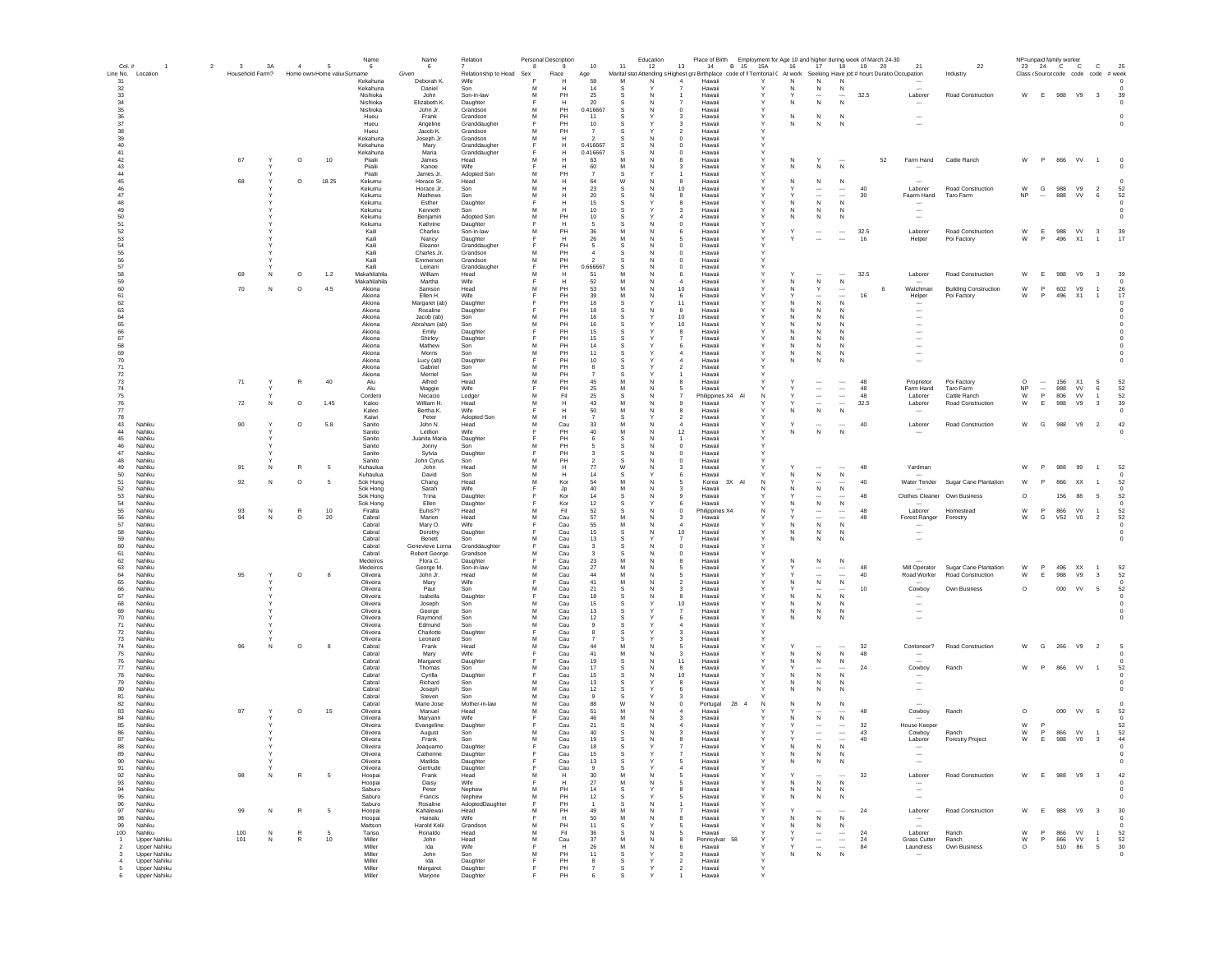|                  | $\overline{2}$               | $\overline{\mathbf{3}}$ |              | $\overline{4}$    | -5                         | Name                  | Name                      | Relation                 |        | Personal Description | 10                            | 11       | Education | Place of Birth Employment for Age 10 and higher during week of March 24-30<br>13                                            |              |              |                                       |                                          |            |    | 21                                                   |                                    |                    | NP=unpaid family worker  |               | $\mathbf{C}$                                               | 25               |
|------------------|------------------------------|-------------------------|--------------|-------------------|----------------------------|-----------------------|---------------------------|--------------------------|--------|----------------------|-------------------------------|----------|-----------|-----------------------------------------------------------------------------------------------------------------------------|--------------|--------------|---------------------------------------|------------------------------------------|------------|----|------------------------------------------------------|------------------------------------|--------------------|--------------------------|---------------|------------------------------------------------------------|------------------|
| Col.#            | Line No. Location            | Household Farm?         | 3A           |                   | Home own Home valu Surname | - 6                   | 6<br>Given                | Relationship to Head Sex | 8      | 9<br>Race            | Age                           |          | 12        | Marital stat Attending s Highest graBirthplace code of fi Territorial C At work Seeking Have job # hours Duratio Occupation | 14 B 15 15A  | 16           | 17                                    |                                          | 18  19  20 |    |                                                      | 22<br>Industry                     |                    | 23 24 C C                |               | Class (Source code code code # week                        |                  |
| 31               |                              |                         |              |                   |                            | Kekahuna              | Deborah K.                | Wife                     |        | H                    | 58                            | M        | N         | Hawaii                                                                                                                      | Υ            | N            | N                                     | N                                        |            |    |                                                      |                                    |                    |                          |               |                                                            | $\Omega$         |
| 32<br>33         |                              |                         |              |                   |                            | Kekahuna<br>Nishioka  | Daniel<br>John            | Son<br>Son-in-law        | M<br>м | H<br>PH              | 14<br>25                      | -S<br>-S | <b>N</b>  | Hawaii<br>Hawaii                                                                                                            |              | N            | N<br>$\cdots$                         | N<br>$\cdots$                            | 32.5       |    | Laborer                                              | Road Construction                  |                    |                          |               | W E 988 V9 3                                               | 39               |
| 34               |                              |                         |              |                   |                            | Nishinka              | Elizabeth K.              | Daughter                 | E      | H                    | 20                            |          | N         | Hawaii                                                                                                                      | $\mathbf v$  | N            | ${\sf N}$                             | N                                        |            |    |                                                      |                                    |                    |                          |               |                                                            | $\Omega$         |
| 35               |                              |                         |              |                   |                            | Nishioka<br>Hueu      | John Jr.<br>Frank         | Grandson<br>Grandson     | M<br>M | PH<br>PH             | 0.416667<br>11                | S.<br>-S | N         | Hawaii<br>$\Omega$<br>Hawaii<br>-3                                                                                          | v            | N            | N                                     | N                                        |            |    | $\overline{\phantom{a}}$                             |                                    |                    |                          |               |                                                            |                  |
| $36\,$<br>37     |                              |                         |              |                   |                            | Hueu                  | Angeline                  | Granddaugher             | E      | PH                   | 10                            | s        |           | Hawaii<br>-3                                                                                                                |              | N            | N                                     | N                                        |            |    | $\overline{\phantom{a}}$                             |                                    |                    |                          |               |                                                            |                  |
| 38               |                              |                         |              |                   |                            | Hueu                  | Jacob K                   | Grandson                 | M      | PH                   | $\overline{7}$                |          |           | $\overline{2}$<br>Hawaii                                                                                                    |              |              |                                       |                                          |            |    |                                                      |                                    |                    |                          |               |                                                            |                  |
| 39<br>40         |                              |                         |              |                   |                            | Kekahuna<br>Kekahuna  | Joseph Jr.<br>Mary        | Grandson<br>Granddaugher | M<br>E | H<br>Н               | 0.416667                      | .S       | N         | $\mathbf 0$<br>Hawaii<br>$\mathbf 0$<br>Hawaii                                                                              |              |              |                                       |                                          |            |    |                                                      |                                    |                    |                          |               |                                                            |                  |
| 41               |                              |                         |              |                   |                            | Kekahuna              | Maria                     | Granddaugher             |        | н                    | 0.416667                      | s        | N         | $\bf{0}$<br>Hawaii                                                                                                          |              |              |                                       |                                          |            |    |                                                      |                                    |                    |                          |               |                                                            |                  |
| 42<br>43         |                              | 67                      |              | $\circ$           | 10                         | Piialii               | James                     | Head                     | M      |                      | 63                            | M        |           | Hawaii                                                                                                                      |              | N<br>N       | N                                     | N                                        |            | 52 | Farm Hand                                            | Cattle Ranch                       | W                  | P                        | 866           | VV                                                         |                  |
| 44               |                              |                         |              |                   |                            | Piialii<br>Piialii    | Kanoe<br>James Jr.        | Wife<br>Adopted Son      |        | н<br>PH              | 60                            |          |           | Hawaii<br>Hawaii                                                                                                            |              |              |                                       |                                          |            |    |                                                      |                                    |                    |                          |               |                                                            |                  |
| 45               |                              | 68                      |              | $\circ$           | 18.25                      | Kekumu                | Horace Sr.                | Head                     | M      | Н                    | 64                            | W        |           | Hawaii<br>-8                                                                                                                | Y            | N            | ${\sf N}$                             | $\,$ N                                   |            |    |                                                      |                                    |                    |                          |               |                                                            |                  |
| 46<br>47         |                              |                         |              |                   |                            | Kekumu<br>Kekumu      | Horace Jr.<br>Mathews     | Son<br>Son               | м<br>M | н<br>H               | -23<br>20                     | s<br>-S  | N<br>N    | 10<br>Hawaii<br>-8<br>Hawaii                                                                                                | Y            |              | $\ddotsc$<br>$\cdots$                 | $\cdots$<br>$\cdots$                     | 40<br>30   |    | Laborer<br>Faarm Hand                                | Road Construction<br>Taro Farm     | W<br><b>NP</b>     | G<br>$\cdots$            | 988<br>888    | V9<br>$\overline{2}$<br><b>VV</b><br>6                     | 52<br>52         |
| 48               |                              |                         |              |                   |                            | Kekumu                | Esther                    | Daughter                 | Е      | н                    | 15                            | s        |           | -8<br>Hawaii                                                                                                                |              | N            | N                                     | N                                        |            |    | $\sim$                                               |                                    |                    |                          |               |                                                            | $\Omega$         |
| 49               |                              |                         |              |                   |                            | Kekumu                | Kenneth                   | Son                      | M      | н                    | 10 <sup>1</sup>               | S.       |           | Hawaii<br>-3                                                                                                                | Y            | N            | N                                     | N                                        |            |    | $\overline{\phantom{a}}$                             |                                    |                    |                          |               |                                                            | $\Omega$         |
| 50<br>51         |                              |                         |              |                   |                            | Kekumu<br>Kekumu      | Benjamin<br>Kathrine      | Adopted Son<br>Daughter  | M<br>F | PH<br>H              | 10<br>-5                      |          | N         | Hawaii<br>$\Omega$<br>Hawaii                                                                                                | v            | N            | N                                     | N                                        |            |    | $\overline{\phantom{a}}$                             |                                    |                    |                          |               |                                                            |                  |
| 52               |                              |                         |              |                   |                            | Kaili                 | Charles                   | Son-in-law               | M      | PH                   | 36                            | M        | N         | -6<br>Hawaii                                                                                                                | Y            | Y            | $\overline{\phantom{a}}$              | $\ldots$                                 | 32.5       |    | Laborer                                              | Road Construction                  | W                  | E.                       | 988 VV        | $_{3}$                                                     | 39               |
| 53<br>54         |                              |                         |              |                   |                            | Kaili<br>Kaili        | Nancy<br>Eleanor          | Daughter<br>Granddaugher | F      | Н<br>PH              | 26                            | M        | N         | 5<br>Hawaii<br>Hawaii<br>$\mathbf 0$                                                                                        | Y            |              | $\overline{\phantom{a}}$              | $\ldots$                                 | 16         |    | Helper                                               | Poi Factory                        | W                  | P                        | 496 X1        | $\overline{1}$                                             | 17               |
| 55               |                              |                         |              |                   |                            | Kaili                 | Charles Jr.               | Grandson                 | M      | PH                   |                               |          |           | $\mathbf 0$<br>Hawaii                                                                                                       |              |              |                                       |                                          |            |    |                                                      |                                    |                    |                          |               |                                                            |                  |
| 56               |                              |                         |              |                   |                            | Kaili                 | Emmerson                  | Grandson                 | M      | PH                   | $\overline{2}$                | s        | N         | $\circ$<br>Hawaii                                                                                                           |              |              |                                       |                                          |            |    |                                                      |                                    |                    |                          |               |                                                            |                  |
| 57<br>58         |                              | 69                      | N            | $\circ$           | 1.2                        | Kaili<br>Makahilahila | Leinani<br>William        | Granddaugher<br>Head     | M      | PH<br>Н              | 0.666667<br>51                |          |           | $\mathbf 0$<br>Hawaii<br>Hawaii<br>6                                                                                        |              |              | $\overline{\phantom{a}}$              |                                          | 32.5       |    | Laborer                                              | Road Construction                  | W                  | E                        | 988           | V9<br>$\overline{\mathbf{3}}$                              | 39               |
| 59               |                              |                         |              |                   |                            | Makahilahila          | Martha                    | Wife                     |        | н                    | 52                            |          |           | Hawaii                                                                                                                      |              | N            | N                                     | $\,$ N                                   |            |    |                                                      |                                    |                    |                          |               |                                                            |                  |
| 60               |                              | 70                      | N            | $\circ$           | 4.5                        | Akiona                | Samson                    | Head                     | M      | PH                   | 53                            | M        |           | 10<br>Hawaii                                                                                                                |              | N            | Y                                     | $\cdots$                                 |            | 6  | Watchman                                             | <b>Building Construction</b>       | W                  | P                        | 602           | V9<br>$\overline{1}$                                       | 26               |
| 61<br>62         |                              |                         |              |                   |                            | Akiona<br>Akiona      | Ellen H.<br>Margaret (ab) | Wife<br>Daughter         |        | PH<br>PH             | 39<br>18                      | M<br>-S  | N         | -6<br>Hawaii<br>11<br>Hawaii                                                                                                | Y            | N            | $\ddotsc$<br>N                        | N                                        | 16         |    | Helper                                               | Poi Factory                        | W                  | P.                       | 496 X1        | $\overline{1}$                                             | 17               |
| 63               |                              |                         |              |                   |                            | Akiona                | Rosaline                  | Daughter                 |        | PH                   | 18                            |          |           | -8<br>Hawaii                                                                                                                |              | N.           | N                                     | N                                        |            |    | $\overline{\phantom{a}}$                             |                                    |                    |                          |               |                                                            |                  |
| 64               |                              |                         |              |                   |                            | Akiona<br>Akiona      | Jacob (ab)                | Son                      | M<br>M | PH<br>PH             | 16<br>16                      | s        |           | 10 <sup>1</sup><br>Hawaii<br>10 <sup>1</sup><br>Hawaii                                                                      | Y            | N            | N<br>$\mathbb N$                      | N<br>N                                   |            |    | $\overline{\phantom{a}}$<br>$\overline{\phantom{a}}$ |                                    |                    |                          |               |                                                            |                  |
| 65<br>66         |                              |                         |              |                   |                            | Akiona                | Abraham (ab)<br>Emily     | Son<br>Daughter          | E      | PH                   | 15                            |          |           | Hawaii<br>8                                                                                                                 | Y            | N            | N                                     | $\mathsf{N}$                             |            |    | $\overline{\phantom{a}}$                             |                                    |                    |                          |               |                                                            |                  |
| 67               |                              |                         |              |                   |                            | Akiona                | Shirley                   | Daughter                 |        | PH                   | 15                            |          |           | Hawaii                                                                                                                      | v            | N            | N                                     | N                                        |            |    | $\overline{\phantom{a}}$                             |                                    |                    |                          |               |                                                            |                  |
| 68<br>69         |                              |                         |              |                   |                            | Akiona<br>Akiona      | Mathew<br>Morris          | Son<br>Son               | M<br>M | PH<br>PH             | 14<br>11                      | s        |           | Hawaii<br>Hawaii                                                                                                            |              | Ν<br>Ν       | N<br>${\sf N}$                        | N<br>N                                   |            |    | $\overline{\phantom{a}}$                             |                                    |                    |                          |               |                                                            |                  |
| 70               |                              |                         |              |                   |                            | Akiona                | Lucy (ab)                 | Daughter                 | F      | PH                   | 10                            |          |           | Hawaii                                                                                                                      |              | Ν            | ${\sf N}$                             | N                                        |            |    | $\sim$                                               |                                    |                    |                          |               |                                                            |                  |
| 71               |                              |                         |              |                   |                            | Akiona                | Gabriel                   | Son                      | M      | PH                   |                               |          |           | Hawaii                                                                                                                      |              |              |                                       |                                          |            |    |                                                      |                                    |                    |                          |               |                                                            |                  |
| 72<br>73         |                              | 71                      | Y            | $\,$ R            | 40                         | Akiona<br>Alu         | Merriel<br>Alfred         | Son<br>Head              | M<br>M | PH<br>PH             | 45                            |          |           | Hawaii<br>Hawaii                                                                                                            |              |              | $\cdots$                              | $\cdots$                                 | 48         |    | Proprietor                                           | Poi Factory                        | $\circ$            | $\overline{\phantom{a}}$ | 156           | X1<br>5                                                    | 52               |
| 74               |                              |                         |              |                   |                            | Alu                   | Maggie                    | Wife                     |        | PH                   | 25                            |          |           | Hawaii                                                                                                                      |              |              | $\overline{\phantom{a}}$              | $\ldots$                                 | 48         |    | Farm Hand                                            | Taro Farm                          | NP                 | $\overline{\phantom{a}}$ | 888           | VV<br>6                                                    | 52               |
| 75               |                              |                         |              |                   |                            | Cordero               | Necacio                   | Lodger                   | M      | Fil                  | 25                            | s        | N         | Philippines X4 Al                                                                                                           | N            |              | $\ldots$                              | $\ldots$                                 | 48         |    | Laborer                                              | Cattle Ranch                       | ${\sf W}$          | P                        | 806           | VV<br>$\overline{1}$                                       | 52               |
| 76<br>77         |                              | 72                      | N            | $\circ$           | 1.45                       | Kaleo<br>Kaleo        | William H.<br>Bertha K.   | Head<br>Wife             | м<br>Е | н<br>н               | 43<br>50                      | M        | N<br>N    | Hawaii<br>୍ର<br>Hawaii<br>я                                                                                                 |              | N            | $\cdots$<br>$\,$ N                    | $\overline{\phantom{a}}$<br>N            | 32.5       |    | Laborer<br>$\sim$                                    | Road Construction                  | W                  | E                        | 988           | V9<br>$_{3}$                                               | 39<br>$^{\circ}$ |
| 78               |                              |                         |              |                   |                            | Kaiwi                 | Peter                     | Adopted Sor              | м      | H                    |                               | s        |           | Hawaii<br>2                                                                                                                 |              |              |                                       |                                          |            |    |                                                      |                                    |                    |                          |               |                                                            |                  |
| 43               | Nahiku                       | 90                      | $\checkmark$ | $\circ$           | 5.8                        | Sanito                | John N.                   | Head                     | M      | Cau<br>PH            | 33<br>40                      | M<br>M   | N<br>N    | Hawaii<br>$\boldsymbol{A}$<br>12                                                                                            | Y            | $\checkmark$ | $\overline{\phantom{a}}$              | <br>N                                    | 40         |    | Laborer                                              | Road Construction                  |                    | W G                      |               | 988 V9 2                                                   | 42               |
| 44<br>45         | Nahiku<br>Nahiku             |                         |              |                   |                            | Sanito<br>Sanito      | Leillion<br>Juanita Maria | Wife<br>Daughter         |        | PH                   | -6                            | s        | N         | Hawaii<br>Hawaii                                                                                                            |              | N            | ${\sf N}$                             |                                          |            |    |                                                      |                                    |                    |                          |               |                                                            |                  |
| 46               | Nahiku                       |                         |              |                   |                            | Sanito                | Jonny                     | Son                      | M      | PH                   |                               |          | N         | $\overline{0}$<br>Hawaii                                                                                                    |              |              |                                       |                                          |            |    |                                                      |                                    |                    |                          |               |                                                            |                  |
| 47<br>48         | Nahiku<br>Nahiku             |                         |              |                   |                            | Sanito<br>Sanito      | Sylvia                    | Daughter<br>Son          | E<br>M | PH<br>PH             | $\mathbf{3}$                  | S        | N         | Hawaii<br>$\mathbf 0$<br>Hawaii<br>$\mathbf 0$                                                                              |              |              |                                       |                                          |            |    |                                                      |                                    |                    |                          |               |                                                            |                  |
| 49               | Nahiku                       | 91                      | N            | R                 |                            | Kuhaulua              | John Cyrus<br>John        | Head                     | M      | н                    | 77                            | W        | N         | Hawaii                                                                                                                      |              |              |                                       |                                          | 48         |    | Yardman                                              |                                    | W                  | P                        | 988           | 99<br>$\overline{1}$                                       | 52               |
| 50               | Nahiku                       |                         |              |                   |                            | Kuhaulua              | David                     | Son                      | M      | Н                    | 14                            |          |           | Hawaii                                                                                                                      |              | Ν            | $\,$ N                                | $\,$ N                                   |            |    |                                                      |                                    |                    |                          |               |                                                            |                  |
| 51<br>52         | Nahiku<br>Nahiku             | 92                      | N            | $\circ$           |                            | Sok Hong<br>Sok Hong  | Chang<br>Sarah            | Head<br>Wife             | M      | Kor<br>Jp            | 54<br>40                      | M        |           | Korea<br>5<br>Hawaii<br>з                                                                                                   | 3X AI<br>N   | N            | $\cdots$<br>${\sf N}$                 | $\cdots$<br>$\,$ N                       | 40         |    |                                                      | Water Tender Sugar Cane Plantation | W                  |                          | 866           | XX<br>$\overline{1}$                                       | 52               |
| 53               | Nahiku                       |                         |              |                   |                            | Sok Hong              | Trina                     | Daughter                 |        | Kor                  | 14                            |          |           | Hawaii                                                                                                                      |              |              | $\cdots$                              | $\cdots$                                 | 48         |    |                                                      | Clothes Cleaner Own Business       | $\circ$            |                          | 156           | 88<br>- 5                                                  | 52               |
| 54               | Nahiku                       |                         |              |                   |                            | Sok Hong              | Ellen                     | Daughter                 |        | Kor                  | 12                            | s        |           | Hawaii                                                                                                                      |              | N.           | ${\sf N}$                             | $\,$ N                                   |            |    |                                                      |                                    |                    |                          |               |                                                            | $^{\circ}$       |
| 55<br>56         | Nahiku<br>Nahiku             | 93<br>94                | N<br>N       | R<br>$\circ$      | 10<br>20                   | Firalta<br>Cabral     | Euhis??<br>Marion         | Head<br>Head             | м<br>м | Fil<br>Cau           | 52<br>57                      | -S<br>M  | N<br>N    | $^{\circ}$<br>Philippines X4<br>-3<br>Hawaii                                                                                | N            | Y            | $\cdots$<br>$\overline{\phantom{a}}$  | $\cdots$<br>$\cdots$                     | 48<br>48   |    | Laborer<br>Forest Ranger Forestry                    | Homestead                          | W<br>W             | $\mathsf P$<br>G         | 866<br>V52 V0 | <b>VV</b><br>$\overline{1}$<br>$\overline{2}$              | 52<br>52         |
| 57               | Nahiku                       |                         |              |                   |                            | Cabral                | Mary O.                   | Wife                     |        | Cau                  | 55                            | M        | N         | $\sim$<br>Hawaii                                                                                                            |              | N            | ${\sf N}$                             | N                                        |            |    |                                                      |                                    |                    |                          |               |                                                            | $\Omega$         |
| 58               | Nahiku                       |                         |              |                   |                            | Cahral                | Dorothy                   | Daughter                 | E      | Cau                  | 15                            | S.       | N         | 10 <sup>1</sup><br>Hawaii                                                                                                   | $\mathsf{Y}$ | N            | N                                     | N                                        |            |    | $\overline{\phantom{a}}$                             |                                    |                    |                          |               |                                                            | $\Omega$         |
| 59<br>60         | Nahiku<br>Nahiku             |                         |              |                   |                            | Cabral<br>Cahral      | Benett<br>Genevieve Lorna | Son<br>Granddaughter     | M<br>E | Cau<br>Cau           | 13<br>$\overline{\mathbf{3}}$ | s<br>-S  | N         | Hawaii<br>$\overline{7}$<br>$\Omega$<br>Hawaii                                                                              | v            | N            | ${\sf N}$                             | N                                        |            |    | $\overline{\phantom{a}}$                             |                                    |                    |                          |               |                                                            | $^{\circ}$       |
| 61               | Nahiku                       |                         |              |                   |                            | Cabral                | Robert George             | Grandson                 | M      | Cau                  | $\mathbf{3}$                  | s        | N         | $\Omega$<br>Hawaii                                                                                                          |              |              |                                       |                                          |            |    |                                                      |                                    |                    |                          |               |                                                            |                  |
| 62<br>63         | Nahiku<br>Nahiku             |                         |              |                   |                            | Medeiros<br>Medeiros  | Flora C.                  | Daughter<br>Son-in-law   | F<br>M | Cau<br>Cau           | 23<br>27                      | M<br>M   | N         | Hawaii<br>5<br>Hawaii                                                                                                       |              | N            | ${\sf N}$                             | ${\sf N}$<br>$\ldots$                    | 48         |    | Mill Operator                                        | Sugar Cane Plantation              | W                  | P                        | 496           | XX                                                         | 52               |
| 64               | Nahiku                       | 95                      |              | $\circ$           |                            | Oliveira              | George M.<br>John Jr.     | Head                     | M      | Cau                  | 44                            | M        | N         | 5<br>Hawaii                                                                                                                 |              |              | $\overline{\phantom{a}}$              | $\overline{\phantom{a}}$                 | 40         |    | Road Worker                                          | Road Construction                  | W                  | Ε                        | 988           | V9<br>3                                                    | 52               |
| 65               | Nahiku                       |                         |              |                   |                            | Oliveira              | Mary                      | Wife                     | Е      | Cau                  | 41                            | M        |           | Hawaii                                                                                                                      |              |              | ${\sf N}$                             | ${\sf N}$                                |            |    |                                                      |                                    |                    |                          |               |                                                            |                  |
| 66<br>67         | Nahiku<br>Nahiku             |                         |              |                   |                            | Oliveira<br>Oliveira  | Paul<br>Isabella          | Son<br>Daughter          | M      | Cau<br>Cau           | 21<br>18                      |          |           | Hawaii<br>3<br>Hawaii<br>8                                                                                                  |              | N            | $\cdots$<br>${\sf N}$                 | $\cdots$<br>N                            | 10         |    | Cowboy                                               | Own Business                       | $\circ$            |                          | 000           | VV<br>5                                                    | 52               |
| 68               | Nahiku                       |                         |              |                   |                            | Oliveira              | Joseph                    | Son                      |        | Cau                  | 15                            |          |           | 10<br>Hawaii                                                                                                                |              | N            | N                                     | N                                        |            |    |                                                      |                                    |                    |                          |               |                                                            |                  |
| 69               | Nahiku                       |                         |              |                   |                            | Oliveira              | George                    | Son                      | M      | Cau                  | 13                            | s        |           | Hawaii<br>7                                                                                                                 | Y            | N            | ${\sf N}$                             | $\,$ N                                   |            |    | $\overline{\phantom{a}}$                             |                                    |                    |                          |               |                                                            |                  |
| 70<br>71         | Nahiku<br>Nahiku             |                         |              |                   |                            | Oliveira<br>Oliveira  | Raymond<br>Edmund         | Son<br>Son               | M<br>M | Cau<br>Cau           | 12<br>-9                      | -S<br>-S |           | 6<br>Hawaii<br>Hawaii<br>4                                                                                                  | Y            | N            | N                                     | N                                        |            |    | $\ddotsc$                                            |                                    |                    |                          |               |                                                            |                  |
| 72               | Nahiku                       |                         |              |                   |                            | Oliveira              | Charlotte                 | Daughter                 |        | Cau                  |                               | -S       |           | -3<br>Hawaii                                                                                                                |              |              |                                       |                                          |            |    |                                                      |                                    |                    |                          |               |                                                            |                  |
| 73<br>74         | Nahiku<br>Nahiku             | 96                      | N            | $\circ$           | $\mathbf{a}$               | Oliveira<br>Cabral    | Leonard<br>Frank          | Son<br>Head              | M<br>M | Cau<br>Cau           | $\overline{7}$<br>44          | s<br>M   | N         | Hawaii<br>$\mathbf{3}$<br>Hawaii<br>5                                                                                       | $\mathbf{v}$ |              | $\overline{\phantom{a}}$              | $\overline{\phantom{a}}$                 | 32         |    | Contoneer?                                           | Road Construction                  | W                  | G                        | 266           | V9<br>$\overline{2}$                                       |                  |
| 75               | Nahiku                       |                         |              |                   |                            | Cabral                | Mary                      | Wife                     | E      | Cau                  | 41                            | M        | N         | Hawaii<br>-3                                                                                                                |              | N            | $\,$ N                                | $\mathbb{N}$                             | 48         |    | $\overline{\phantom{a}}$                             |                                    |                    |                          |               |                                                            |                  |
| 76               | Nahiku                       |                         |              |                   |                            | Cabral                | Margaret                  | Daughter                 |        | Cau                  | 19                            | -S       | N         | 11<br>Hawaii                                                                                                                |              | N            | N                                     | N                                        |            |    | $\sim$                                               |                                    |                    |                          |               |                                                            |                  |
| 77<br>78         | Nahiku<br>Nahiku             |                         |              |                   |                            | Cabral<br>Cabral      | Thomas<br>Cyrilla         | Son<br>Daughter          | M      | Cau<br>Cau           | 17<br>15                      | s<br>S   | N<br>N    | 8<br>Hawaii<br>10<br>Hawaii                                                                                                 |              | N            | $\overline{\phantom{a}}$<br>${\sf N}$ | $\overline{\phantom{a}}$<br>$\mathsf{N}$ | 24         |    | Cowboy                                               | Ranch                              | W                  | P                        | 866           | VV<br>$\overline{1}$                                       | 52               |
| 79               | Nahiku                       |                         |              |                   |                            | Cabral                | Richard                   | Son                      | M      | Cau                  | 13                            | .S       |           | Hawaii                                                                                                                      |              |              | N                                     | N                                        |            |    | $\overline{\phantom{a}}$                             |                                    |                    |                          |               |                                                            |                  |
| 80               | Nahiku                       |                         |              |                   |                            | Cabral                | Joseph                    | Son                      | M      | Cau                  | 12                            | s        |           | Hawaii                                                                                                                      |              | N            | ${\sf N}$                             | N                                        |            |    | $\overline{\phantom{a}}$                             |                                    |                    |                          |               |                                                            |                  |
| 81<br>82         | Nahiku<br>Nahiku             |                         |              |                   |                            | Cabral<br>Cabral      | Steven<br>Marie Jose      | Son<br>Mother-in-law     | M<br>M | Cau<br>Cau           | 88                            | W        |           | Hawaii<br>Portugal<br>$^{\circ}$                                                                                            | 28<br>N      | N            | ${\sf N}$                             | ${\sf N}$                                |            |    |                                                      |                                    |                    |                          |               |                                                            |                  |
| 83               | Nahiku                       | 97                      |              | $\circ$           | 15                         | Oliveira              | Manuel                    | Head                     |        | Cau                  | 51                            |          |           | Hawaii                                                                                                                      |              |              | $\sim$                                |                                          | 48         |    | Cowboy                                               | Ranch                              | $\circ$            |                          | 000           | VV<br>- 5                                                  | 52               |
| 84               | Nahiku                       |                         |              |                   |                            | Oliveira              | Maryann                   | Wife                     |        | Cau                  | 46                            | M        |           | Hawaii<br>-3                                                                                                                |              | N            | ${\sf N}$                             | $\,$ N                                   |            |    |                                                      |                                    |                    |                          |               |                                                            | $^{\circ}$       |
| 85<br>86         | Nahiku<br>Nahiku             |                         |              |                   |                            | Oliveira<br>Oliveira  | Evangeline<br>August      | Daughter<br>Son          | м      | Cau<br>Cau           | 21<br>40                      | s<br>s   | N         | Hawaii<br>4<br>Hawaii<br>з                                                                                                  |              |              | $\cdots$<br>$\cdots$                  | $\cdots$<br>$\cdots$                     | 32<br>43   |    | House Keeper<br>Cowboy                               | Ranch                              | W<br>W             | <b>P</b><br>P            | 866           | <b>VV</b><br>$\overline{1}$                                | 52<br>52         |
| 87               | Nahiku                       |                         |              |                   |                            | Oliveira              | Frank                     | Son                      | м      | Cau                  | 19                            | -S       |           | Hawaii                                                                                                                      |              |              | $\overline{\phantom{a}}$              |                                          | 40         |    | Laborer                                              | <b>Forestry Project</b>            | W                  | E                        | 988           | V <sub>0</sub><br>$_{3}$                                   | 44               |
| 88               | Nahiku                       |                         |              |                   |                            | Oliveira              | Joaquamo                  | Daughter                 |        | Cau                  | 18                            | -S       |           | Hawaii                                                                                                                      |              | N            | ${\sf N}$                             | N                                        |            |    | $\overline{\phantom{a}}$                             |                                    |                    |                          |               |                                                            |                  |
| 89<br>90         | Nobiku<br>Nahiku             |                         | $\checkmark$ |                   |                            | ∩livoiro<br>Oliveira  | Cathorino<br>Matilda      | Daughter                 |        | Cou<br>Cau           | 13                            | s        |           | Howaii<br>Hawaii<br>5                                                                                                       | $\mathsf{Y}$ | N            | ${\sf N}$                             | N                                        |            |    | $\overline{\phantom{a}}$                             |                                    |                    |                          |               |                                                            | $^{\circ}$       |
| 91               | Nahiku                       |                         |              |                   |                            | Oliveira              | Gertrude                  | Daughter                 |        | Cau                  | $\mathbf{a}$                  | s        |           | Hawaii                                                                                                                      |              |              |                                       |                                          |            |    |                                                      |                                    |                    |                          |               |                                                            |                  |
| 92               | Nahiku                       | 98                      | N            | R                 |                            | Hoopai                | Frank                     | Head                     | м      | Н                    | 30                            | M<br>M   | N         | Hawaii                                                                                                                      |              |              | $\overline{\phantom{a}}$              |                                          | 32         |    | Laborer                                              | Road Construction                  | W                  | E                        | 988           | V9<br>$\overline{\mathbf{3}}$                              | 42               |
| 93<br>94         | Nahiku<br>Nahiku             |                         |              |                   |                            | Hoopai<br>Saburo      | Daisy<br>Peter            | Wife<br>Nephew           | M      | PH                   | 27<br>14                      | s        |           | Hawaii<br>Hawaii                                                                                                            |              | Ν<br>Ν       | ${\sf N}$<br>N                        | N<br>$\mathbb{N}$                        |            |    | $\overline{\phantom{a}}$                             |                                    |                    |                          |               |                                                            |                  |
| 95               | Nahiku                       |                         |              |                   |                            | Saburo                | Francis                   | Nephew                   | M      | PH                   | 12                            | s        |           | Hawaii                                                                                                                      |              | Ν            | ${\sf N}$                             | N                                        |            |    | $\overline{\phantom{a}}$                             |                                    |                    |                          |               |                                                            |                  |
| 96<br>97         | Nahiku                       |                         | N            | $\mathbb{R}$      | -5                         | Saburo                | Rosaline                  | AdoptedDaughter          |        | PH<br>PH             | 49                            | M        |           | Hawaii                                                                                                                      |              |              |                                       |                                          |            |    |                                                      |                                    | W                  |                          |               |                                                            |                  |
| 98               | Nahiku<br>Nahiku             | 99                      |              |                   |                            | Hoopa<br>Hoopai       | Kahalewai<br>Hainalu      | Head<br>Wife             |        | н                    | 50                            | M        |           | Hawaii<br>Hawaii                                                                                                            |              | N            | $\cdots$<br>${\sf N}$                 | $\mathsf{N}$                             | 24         |    | Laborer<br>$\sim$                                    | Road Construction                  |                    |                          | 988           | V9<br>$\overline{\mathbf{3}}$                              | 30               |
| 99               | Nahiku                       |                         |              |                   |                            | Mattson               | Harold Kelii              | Grandson                 | M      | PH                   | 11                            | s        |           | Hawaii                                                                                                                      |              | N            | $\,N\,$                               | $\,$ N                                   |            |    | $\overline{\phantom{a}}$                             |                                    |                    |                          |               |                                                            |                  |
| 100<br>-1        | Nahiku<br>Upper Nahiku       | 100<br>101              | N<br>N       | R<br>$\mathbb{R}$ | - 5<br>10                  | Tanso<br>Miller       | Ronaldo<br>John           | Head<br>Head             | м<br>M | Fil<br>Cau           | 36<br>-37                     | s<br>M   | N<br>N    | Hawaii<br>Pennsylvar<br>я                                                                                                   | - 58<br>Y    |              | $\cdots$<br>$\overline{\phantom{a}}$  | $\cdots$<br>$\cdots$                     | 24<br>24   |    | Laborer<br>Grass Cutter                              | Ranch<br>Ranch                     | W<br>${\mathsf W}$ | <b>P</b><br><b>P</b>     | 866<br>866    | <b>VV</b><br>$\overline{1}$<br><b>VV</b><br>$\overline{1}$ | 52<br>52         |
| $\overline{2}$   | Upper Nahiku                 |                         |              |                   |                            | Miller                | Ida                       | Wife                     |        | H                    | 26                            | M        | N         | Hawaii<br>-6                                                                                                                |              |              | $\overline{\phantom{a}}$              | $\cdots$                                 | 84         |    | Laundress                                            | Own Business                       | $\circ$            |                          | 510           | 86<br>5                                                    | 30               |
| -3               | Upper Nahiku                 |                         |              |                   |                            | Miller                | John                      | Son                      | M      | PH                   | 11                            | s        |           | Hawaii<br>3                                                                                                                 | $\mathsf{Y}$ | N            | ${\sf N}$                             | N                                        |            |    |                                                      |                                    |                    |                          |               |                                                            | $^{\circ}$       |
| $\boldsymbol{A}$ | Upper Nahiku<br>Upper Nahiku |                         |              |                   |                            | Miller<br>Miller      | Ida<br>Margaret           | Daughter<br>Daughter     |        | PH<br>PH             |                               | s<br>s   |           | Hawaii<br>$\overline{\phantom{a}}$<br>Hawaii<br>$\overline{\phantom{a}}$                                                    | v            |              |                                       |                                          |            |    |                                                      |                                    |                    |                          |               |                                                            |                  |
| -6               | Upper Nahiku                 |                         |              |                   |                            | Miller                | Marjorie                  | Daughter                 |        | PH                   |                               | s        |           | Hawaii                                                                                                                      | Y            |              |                                       |                                          |            |    |                                                      |                                    |                    |                          |               |                                                            |                  |